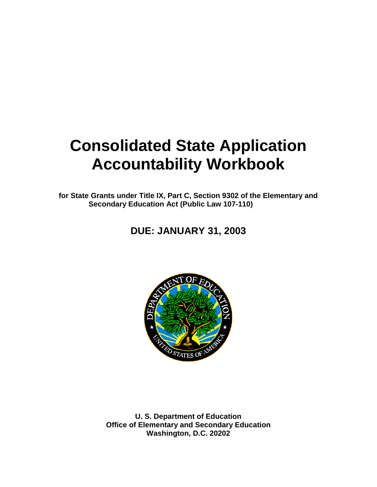# **Consolidated State Application Accountability Workbook**

**for State Grants under Title IX, Part C, Section 9302 of the Elementary and Secondary Education Act (Public Law 107-110)**

# **DUE: JANUARY 31, 2003**



**U. S. Department of Education Office of Elementary and Secondary Education Washington, D.C. 20202**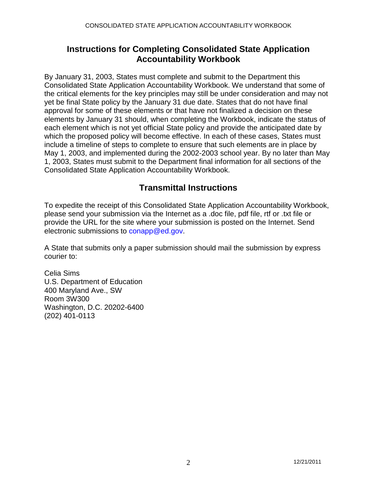# **Instructions for Completing Consolidated State Application Accountability Workbook**

By January 31, 2003, States must complete and submit to the Department this Consolidated State Application Accountability Workbook. We understand that some of the critical elements for the key principles may still be under consideration and may not yet be final State policy by the January 31 due date. States that do not have final approval for some of these elements or that have not finalized a decision on these elements by January 31 should, when completing the Workbook, indicate the status of each element which is not yet official State policy and provide the anticipated date by which the proposed policy will become effective. In each of these cases, States must include a timeline of steps to complete to ensure that such elements are in place by May 1, 2003, and implemented during the 2002-2003 school year. By no later than May 1, 2003, States must submit to the Department final information for all sections of the Consolidated State Application Accountability Workbook.

# **Transmittal Instructions**

To expedite the receipt of this Consolidated State Application Accountability Workbook, please send your submission via the Internet as a .doc file, pdf file, rtf or .txt file or provide the URL for the site where your submission is posted on the Internet. Send electronic submissions to conapp@ed.gov.

A State that submits only a paper submission should mail the submission by express courier to:

Celia Sims U.S. Department of Education 400 Maryland Ave., SW Room 3W300 Washington, D.C. 20202-6400 (202) 401-0113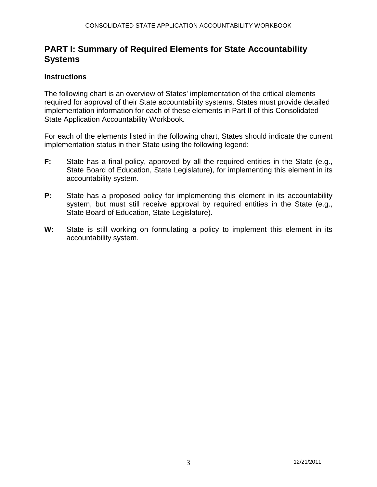# **PART I: Summary of Required Elements for State Accountability Systems**

# **Instructions**

The following chart is an overview of States' implementation of the critical elements required for approval of their State accountability systems. States must provide detailed implementation information for each of these elements in Part II of this Consolidated State Application Accountability Workbook.

For each of the elements listed in the following chart, States should indicate the current implementation status in their State using the following legend:

- **F:** State has a final policy, approved by all the required entities in the State (e.g., State Board of Education, State Legislature), for implementing this element in its accountability system.
- **P:** State has a proposed policy for implementing this element in its accountability system, but must still receive approval by required entities in the State (e.g., State Board of Education, State Legislature).
- **W:** State is still working on formulating a policy to implement this element in its accountability system.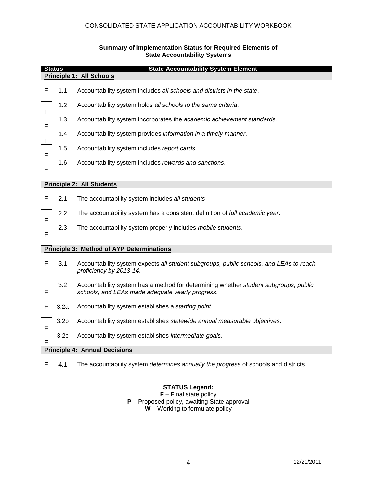#### CONSOLIDATED STATE APPLICATION ACCOUNTABILITY WORKBOOK

# **Status State Accountability System Element Principle 1: All Schools** F 1.1 Accountability system includes *all schools and districts in the state*. F 1.2 Accountability system holds *all schools to the same criteria*. F 1.3 Accountability system incorporates the *academic achievement standards*. F 1.4 Accountability system provides *information in a timely manner*. F 1.5 Accountability system includes *report cards*. F 1.6 Accountability system includes *rewards and sanctions*. **Principle 2: All Students** F 2.1 The accountability system includes *all students* F 2.2 The accountability system has a consistent definition of *full academic year*. F 2.3 The accountability system properly includes *mobile students*. **Principle 3: Method of AYP Determinations** F 3.1 Accountability system expects *all student subgroups, public schools, and LEAs to reach proficiency by 2013-14*. F 3.2 Accountability system has a method for determining whether *student subgroups, public schools, and LEAs made adequate yearly progress.* F 3.2a Accountability system establishes a *starting point*. F 3.2b Accountability system establishes *statewide annual measurable objectives*. F 3.2c Accountability system establishes *intermediate goals*. **Principle 4: Annual Decisions** F 4.1 The accountability system *determines annually the progress* of schools and districts.

#### **Summary of Implementation Status for Required Elements of State Accountability Systems**

#### **STATUS Legend:**

**F** – Final state policy **P** – Proposed policy, awaiting State approval **W** – Working to formulate policy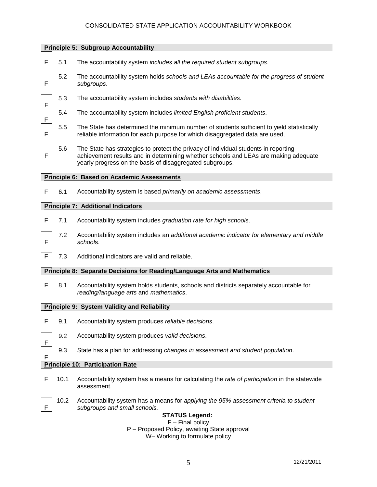# CONSOLIDATED STATE APPLICATION ACCOUNTABILITY WORKBOOK

|   | <b>Principle 5: Subgroup Accountability</b> |                                                                                                                                                                                                                                        |  |  |  |
|---|---------------------------------------------|----------------------------------------------------------------------------------------------------------------------------------------------------------------------------------------------------------------------------------------|--|--|--|
| F | 5.1                                         | The accountability system includes all the required student subgroups.                                                                                                                                                                 |  |  |  |
| F | 5.2                                         | The accountability system holds schools and LEAs accountable for the progress of student<br>subgroups.                                                                                                                                 |  |  |  |
| F | 5.3                                         | The accountability system includes students with disabilities.                                                                                                                                                                         |  |  |  |
| F | 5.4                                         | The accountability system includes limited English proficient students.                                                                                                                                                                |  |  |  |
| F | 5.5                                         | The State has determined the minimum number of students sufficient to yield statistically<br>reliable information for each purpose for which disaggregated data are used.                                                              |  |  |  |
| F | 5.6                                         | The State has strategies to protect the privacy of individual students in reporting<br>achievement results and in determining whether schools and LEAs are making adequate<br>yearly progress on the basis of disaggregated subgroups. |  |  |  |
|   |                                             | <b>Principle 6: Based on Academic Assessments</b>                                                                                                                                                                                      |  |  |  |
| F | 6.1                                         | Accountability system is based primarily on academic assessments.                                                                                                                                                                      |  |  |  |
|   |                                             | <b>Principle 7: Additional Indicators</b>                                                                                                                                                                                              |  |  |  |
| F | 7.1                                         | Accountability system includes graduation rate for high schools.                                                                                                                                                                       |  |  |  |
| F | 7.2                                         | Accountability system includes an additional academic indicator for elementary and middle<br>schools.                                                                                                                                  |  |  |  |
| F | 7.3                                         | Additional indicators are valid and reliable.                                                                                                                                                                                          |  |  |  |
|   |                                             | <b>Principle 8: Separate Decisions for Reading/Language Arts and Mathematics</b>                                                                                                                                                       |  |  |  |
| F | 8.1                                         | Accountability system holds students, schools and districts separately accountable for<br>reading/language arts and mathematics.                                                                                                       |  |  |  |
|   |                                             | <b>Principle 9: System Validity and Reliability</b>                                                                                                                                                                                    |  |  |  |
| F | 9.1                                         | Accountability system produces reliable decisions.                                                                                                                                                                                     |  |  |  |
| F | 9.2                                         | Accountability system produces valid decisions.                                                                                                                                                                                        |  |  |  |
| F | 9.3                                         | State has a plan for addressing changes in assessment and student population.                                                                                                                                                          |  |  |  |
|   | <b>Principle 10: Participation Rate</b>     |                                                                                                                                                                                                                                        |  |  |  |
| F | 10.1                                        | Accountability system has a means for calculating the rate of participation in the statewide<br>assessment.                                                                                                                            |  |  |  |
| F | 10.2                                        | Accountability system has a means for applying the 95% assessment criteria to student<br>subgroups and small schools.                                                                                                                  |  |  |  |
|   |                                             | <b>STATUS Legend:</b><br>$F$ – Final policy                                                                                                                                                                                            |  |  |  |
|   |                                             | P - Proposed Policy, awaiting State approval                                                                                                                                                                                           |  |  |  |

W– Working to formulate policy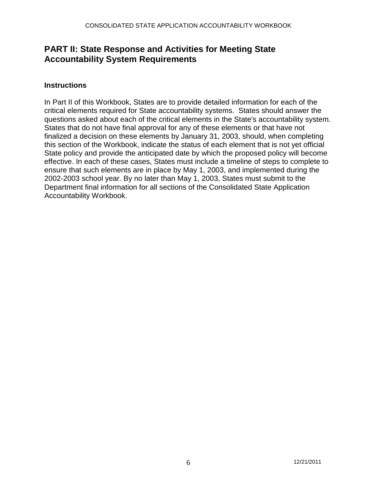# **PART II: State Response and Activities for Meeting State Accountability System Requirements**

# **Instructions**

In Part II of this Workbook, States are to provide detailed information for each of the critical elements required for State accountability systems. States should answer the questions asked about each of the critical elements in the State's accountability system. States that do not have final approval for any of these elements or that have not finalized a decision on these elements by January 31, 2003, should, when completing this section of the Workbook, indicate the status of each element that is not yet official State policy and provide the anticipated date by which the proposed policy will become effective. In each of these cases, States must include a timeline of steps to complete to ensure that such elements are in place by May 1, 2003, and implemented during the 2002-2003 school year. By no later than May 1, 2003, States must submit to the Department final information for all sections of the Consolidated State Application Accountability Workbook.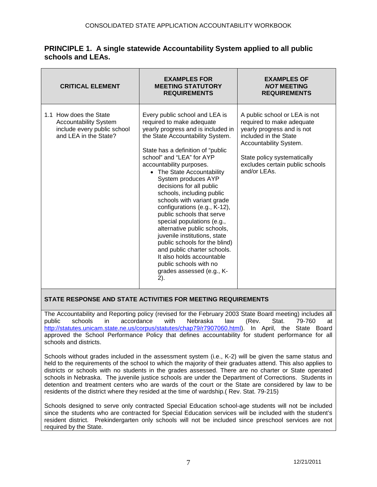| <b>CRITICAL ELEMENT</b>                                                                                        | <b>EXAMPLES FOR</b><br><b>MEETING STATUTORY</b><br><b>REQUIREMENTS</b>                                                                                                                                                                                                                                                                                                                                                                                                                                                                                                                                                                                                                               | <b>EXAMPLES OF</b><br><b>NOT MEETING</b><br><b>REQUIREMENTS</b>                                                                                                                                                               |
|----------------------------------------------------------------------------------------------------------------|------------------------------------------------------------------------------------------------------------------------------------------------------------------------------------------------------------------------------------------------------------------------------------------------------------------------------------------------------------------------------------------------------------------------------------------------------------------------------------------------------------------------------------------------------------------------------------------------------------------------------------------------------------------------------------------------------|-------------------------------------------------------------------------------------------------------------------------------------------------------------------------------------------------------------------------------|
| 1.1 How does the State<br><b>Accountability System</b><br>include every public school<br>and LEA in the State? | Every public school and LEA is<br>required to make adequate<br>yearly progress and is included in<br>the State Accountability System.<br>State has a definition of "public<br>school" and "LEA" for AYP<br>accountability purposes.<br>• The State Accountability<br>System produces AYP<br>decisions for all public<br>schools, including public<br>schools with variant grade<br>configurations (e.g., K-12),<br>public schools that serve<br>special populations (e.g.,<br>alternative public schools,<br>juvenile institutions, state<br>public schools for the blind)<br>and public charter schools.<br>It also holds accountable<br>public schools with no<br>grades assessed (e.g., K-<br>2). | A public school or LEA is not<br>required to make adequate<br>yearly progress and is not<br>included in the State<br>Accountability System.<br>State policy systematically<br>excludes certain public schools<br>and/or LEAs. |

# **PRINCIPLE 1. A single statewide Accountability System applied to all public schools and LEAs.**

# **STATE RESPONSE AND STATE ACTIVITIES FOR MEETING REQUIREMENTS**

The Accountability and Reporting policy (revised for the February 2003 State Board meeting) includes all<br>public schools in accordance with Nebraska law (Rev. Stat. 79-760 at public schools in accordance with Nebraska law (Rev. Stat. 79-760 at [http://statutes.unicam.state.ne.us/corpus/statutes/chap79/r7907060.html\)](http://statutes.unicam.state.ne.us/corpus/statutes/chap79/r7907060.html). In April, the State Board approved the School Performance Policy that defines accountability for student performance for all schools and districts.

Schools without grades included in the assessment system (i.e., K-2) will be given the same status and held to the requirements of the school to which the majority of their graduates attend. This also applies to districts or schools with no students in the grades assessed. There are no charter or State operated schools in Nebraska. The juvenile justice schools are under the Department of Corrections. Students in detention and treatment centers who are wards of the court or the State are considered by law to be residents of the district where they resided at the time of wardship.( Rev. Stat. 79-215)

Schools designed to serve only contracted Special Education school-age students will not be included since the students who are contracted for Special Education services will be included with the student's resident district. Prekindergarten only schools will not be included since preschool services are not required by the State.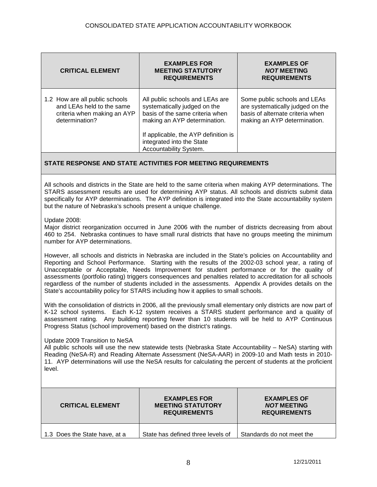| <b>CRITICAL ELEMENT</b>                                                                                      | <b>EXAMPLES FOR</b><br><b>MEETING STATUTORY</b><br><b>REQUIREMENTS</b>                                                             | <b>EXAMPLES OF</b><br><b>NOT MEETING</b><br><b>REQUIREMENTS</b>                                                                      |
|--------------------------------------------------------------------------------------------------------------|------------------------------------------------------------------------------------------------------------------------------------|--------------------------------------------------------------------------------------------------------------------------------------|
| 1.2 How are all public schools<br>and LEAs held to the same<br>criteria when making an AYP<br>determination? | All public schools and LEAs are<br>systematically judged on the<br>basis of the same criteria when<br>making an AYP determination. | Some public schools and LEAs<br>are systematically judged on the<br>basis of alternate criteria when<br>making an AYP determination. |
|                                                                                                              | If applicable, the AYP definition is<br>integrated into the State<br>Accountability System.                                        |                                                                                                                                      |

All schools and districts in the State are held to the same criteria when making AYP determinations. The STARS assessment results are used for determining AYP status. All schools and districts submit data specifically for AYP determinations. The AYP definition is integrated into the State accountability system but the nature of Nebraska's schools present a unique challenge.

Update 2008:

Major district reorganization occurred in June 2006 with the number of districts decreasing from about 460 to 254. Nebraska continues to have small rural districts that have no groups meeting the minimum number for AYP determinations.

However, all schools and districts in Nebraska are included in the State's policies on Accountability and Reporting and School Performance. Starting with the results of the 2002-03 school year, a rating of Unacceptable or Acceptable, Needs Improvement for student performance or for the quality of assessments (portfolio rating) triggers consequences and penalties related to accreditation for all schools regardless of the number of students included in the assessments. Appendix A provides details on the State's accountability policy for STARS including how it applies to small schools.

With the consolidation of districts in 2006, all the previously small elementary only districts are now part of K-12 school systems. Each K-12 system receives a STARS student performance and a quality of assessment rating. Any building reporting fewer than 10 students will be held to AYP Continuous Progress Status (school improvement) based on the district's ratings.

#### Update 2009 Transition to NeSA

All public schools will use the new statewide tests (Nebraska State Accountability – NeSA) starting with Reading (NeSA-R) and Reading Alternate Assessment (NeSA-AAR) in 2009-10 and Math tests in 2010- 11. AYP determinations will use the NeSA results for calculating the percent of students at the proficient level.

| <b>CRITICAL ELEMENT</b>       | <b>EXAMPLES FOR</b><br><b>MEETING STATUTORY</b><br><b>REQUIREMENTS</b> | <b>EXAMPLES OF</b><br><b>NOT MEETING</b><br><b>REQUIREMENTS</b> |
|-------------------------------|------------------------------------------------------------------------|-----------------------------------------------------------------|
| 1.3 Does the State have, at a | State has defined three levels of                                      | Standards do not meet the                                       |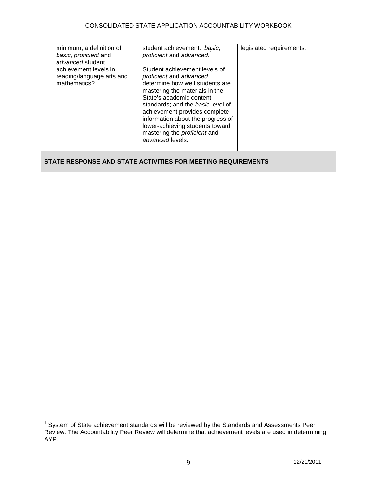| minimum, a definition of<br>basic, proficient and<br>advanced student<br>achievement levels in<br>reading/language arts and<br>mathematics? | student achievement: basic,<br>proficient and advanced. <sup>1</sup><br>Student achievement levels of<br>proficient and advanced<br>determine how well students are<br>mastering the materials in the<br>State's academic content | legislated requirements. |
|---------------------------------------------------------------------------------------------------------------------------------------------|-----------------------------------------------------------------------------------------------------------------------------------------------------------------------------------------------------------------------------------|--------------------------|
|                                                                                                                                             | standards; and the <i>basic</i> level of<br>achievement provides complete<br>information about the progress of<br>lower-achieving students toward<br>mastering the <i>proficient</i> and<br>advanced levels.                      |                          |
|                                                                                                                                             |                                                                                                                                                                                                                                   |                          |

<span id="page-8-0"></span><sup>1</sup> System of State achievement standards will be reviewed by the Standards and Assessments Peer Review. The Accountability Peer Review will determine that achievement levels are used in determining AYP.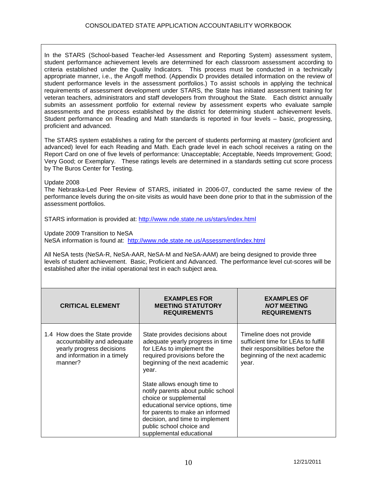In the STARS (School-based Teacher-led Assessment and Reporting System) assessment system, student performance achievement levels are determined for each classroom assessment according to criteria established under the Quality Indicators. This process must be conducted in a technically appropriate manner, i.e., the Angoff method. (Appendix D provides detailed information on the review of student performance levels in the assessment portfolios.) To assist schools in applying the technical requirements of assessment development under STARS, the State has initiated assessment training for veteran teachers, administrators and staff developers from throughout the State. Each district annually submits an assessment portfolio for external review by assessment experts who evaluate sample assessments and the process established by the district for determining student achievement levels. Student performance on Reading and Math standards is reported in four levels – basic, progressing, proficient and advanced.

The STARS system establishes a rating for the percent of students performing at mastery (proficient and advanced) level for each Reading and Math. Each grade level in each school receives a rating on the Report Card on one of five levels of performance: Unacceptable; Acceptable, Needs Improvement; Good; Very Good; or Exemplary. These ratings levels are determined in a standards setting cut score process by The Buros Center for Testing.

Update 2008

The Nebraska-Led Peer Review of STARS, initiated in 2006-07, conducted the same review of the performance levels during the on-site visits as would have been done prior to that in the submission of the assessment portfolios.

STARS information is provided at:<http://www.nde.state.ne.us/stars/index.html>

Update 2009 Transition to NeSA

NeSA information is found at: <http://www.nde.state.ne.us/Assessment/index.html>

All NeSA tests (NeSA-R, NeSA-AAR, NeSA-M and NeSA-AAM) are being designed to provide three levels of student achievement. Basic, Proficient and Advanced. The performance level cut-scores will be established after the initial operational test in each subject area.

| <b>CRITICAL ELEMENT</b>                                                                                                              | <b>EXAMPLES FOR</b><br><b>MEETING STATUTORY</b><br><b>REQUIREMENTS</b>                                                                                                                                                                                         | <b>EXAMPLES OF</b><br><b>NOT MEETING</b><br><b>REQUIREMENTS</b>                                                                                  |
|--------------------------------------------------------------------------------------------------------------------------------------|----------------------------------------------------------------------------------------------------------------------------------------------------------------------------------------------------------------------------------------------------------------|--------------------------------------------------------------------------------------------------------------------------------------------------|
| 1.4 How does the State provide<br>accountability and adequate<br>yearly progress decisions<br>and information in a timely<br>manner? | State provides decisions about<br>adequate yearly progress in time<br>for LEAs to implement the<br>required provisions before the<br>beginning of the next academic<br>year.                                                                                   | Timeline does not provide<br>sufficient time for LEAs to fulfill<br>their responsibilities before the<br>beginning of the next academic<br>year. |
|                                                                                                                                      | State allows enough time to<br>notify parents about public school<br>choice or supplemental<br>educational service options, time<br>for parents to make an informed<br>decision, and time to implement<br>public school choice and<br>supplemental educational |                                                                                                                                                  |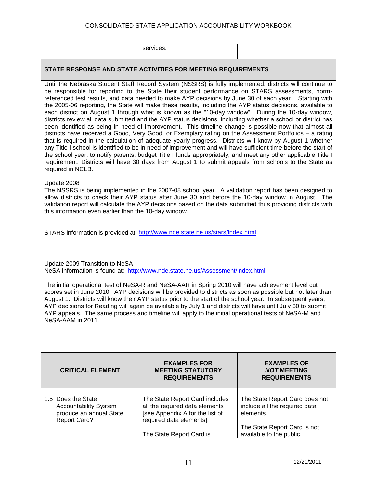#### CONSOLIDATED STATE APPLICATION ACCOUNTABILITY WORKBOOK

| ™ ∪ |  |
|-----|--|
|-----|--|

#### **STATE RESPONSE AND STATE ACTIVITIES FOR MEETING REQUIREMENTS**

Until the Nebraska Student Staff Record System (NSSRS) is fully implemented, districts will continue to be responsible for reporting to the State their student performance on STARS assessments, normreferenced test results, and data needed to make AYP decisions by June 30 of each year. Starting with the 2005-06 reporting, the State will make these results, including the AYP status decisions, available to each district on August 1 through what is known as the "10-day window". During the 10-day window, districts review all data submitted and the AYP status decisions, including whether a school or district has been identified as being in need of improvement. This timeline change is possible now that almost all districts have received a Good, Very Good, or Exemplary rating on the Assessment Portfolios – a rating that is required in the calculation of adequate yearly progress. Districts will know by August 1 whether any Title I school is identified to be in need of improvement and will have sufficient time before the start of the school year, to notify parents, budget Title I funds appropriately, and meet any other applicable Title I requirement. Districts will have 30 days from August 1 to submit appeals from schools to the State as required in NCLB.

#### Update 2008

The NSSRS is being implemented in the 2007-08 school year. A validation report has been designed to allow districts to check their AYP status after June 30 and before the 10-day window in August. The validation report will calculate the AYP decisions based on the data submitted thus providing districts with this information even earlier than the 10-day window.

STARS information is provided at:<http://www.nde.state.ne.us/stars/index.html>

Update 2009 Transition to NeSA NeSA information is found at: <http://www.nde.state.ne.us/Assessment/index.html>

The initial operational test of NeSA-R and NeSA-AAR in Spring 2010 will have achievement level cut scores set in June 2010. AYP decisions will be provided to districts as soon as possible but not later than August 1. Districts will know their AYP status prior to the start of the school year. In subsequent years, AYP decisions for Reading will again be available by July 1 and districts will have until July 30 to submit AYP appeals. The same process and timeline will apply to the initial operational tests of NeSA-M and NeSA-AAM in 2011.

| <b>CRITICAL ELEMENT</b>                                                                              | <b>EXAMPLES FOR</b><br><b>MEETING STATUTORY</b><br><b>REQUIREMENTS</b>                                                          | <b>EXAMPLES OF</b><br><b>NOT MEETING</b><br><b>REQUIREMENTS</b>              |
|------------------------------------------------------------------------------------------------------|---------------------------------------------------------------------------------------------------------------------------------|------------------------------------------------------------------------------|
| 1.5 Does the State<br><b>Accountability System</b><br>produce an annual State<br><b>Report Card?</b> | The State Report Card includes<br>all the required data elements<br>[see Appendix A for the list of<br>required data elements]. | The State Report Card does not<br>include all the required data<br>elements. |
|                                                                                                      | The State Report Card is                                                                                                        | The State Report Card is not<br>available to the public.                     |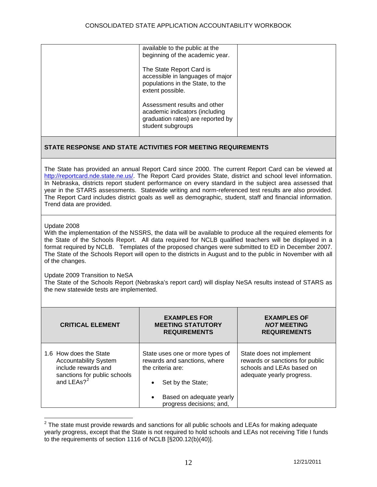|                                                                                                                                                                                                                                                                                                                                                                                                                                                                                                                                                                           | available to the public at the<br>beginning of the academic year.<br>The State Report Card is<br>accessible in languages of major<br>populations in the State, to the<br>extent possible.<br>Assessment results and other<br>academic indicators (including<br>graduation rates) are reported by<br>student subgroups |                                                                                                                       |  |  |
|---------------------------------------------------------------------------------------------------------------------------------------------------------------------------------------------------------------------------------------------------------------------------------------------------------------------------------------------------------------------------------------------------------------------------------------------------------------------------------------------------------------------------------------------------------------------------|-----------------------------------------------------------------------------------------------------------------------------------------------------------------------------------------------------------------------------------------------------------------------------------------------------------------------|-----------------------------------------------------------------------------------------------------------------------|--|--|
|                                                                                                                                                                                                                                                                                                                                                                                                                                                                                                                                                                           | STATE RESPONSE AND STATE ACTIVITIES FOR MEETING REQUIREMENTS                                                                                                                                                                                                                                                          |                                                                                                                       |  |  |
| The State has provided an annual Report Card since 2000. The current Report Card can be viewed at<br>http://reportcard.nde.state.ne.us/. The Report Card provides State, district and school level information.<br>In Nebraska, districts report student performance on every standard in the subject area assessed that<br>year in the STARS assessments. Statewide writing and norm-referenced test results are also provided.<br>The Report Card includes district goals as well as demographic, student, staff and financial information.<br>Trend data are provided. |                                                                                                                                                                                                                                                                                                                       |                                                                                                                       |  |  |
| Update 2008<br>With the implementation of the NSSRS, the data will be available to produce all the required elements for<br>the State of the Schools Report. All data required for NCLB qualified teachers will be displayed in a<br>format required by NCLB. Templates of the proposed changes were submitted to ED in December 2007.<br>The State of the Schools Report will open to the districts in August and to the public in November with all<br>of the changes.                                                                                                  |                                                                                                                                                                                                                                                                                                                       |                                                                                                                       |  |  |
| Update 2009 Transition to NeSA<br>The State of the Schools Report (Nebraska's report card) will display NeSA results instead of STARS as<br>the new statewide tests are implemented.                                                                                                                                                                                                                                                                                                                                                                                      |                                                                                                                                                                                                                                                                                                                       |                                                                                                                       |  |  |
| <b>CRITICAL ELEMENT</b>                                                                                                                                                                                                                                                                                                                                                                                                                                                                                                                                                   | <b>EXAMPLES FOR</b><br><b>MEETING STATUTORY</b><br><b>REQUIREMENTS</b>                                                                                                                                                                                                                                                | EXAMPLES OF<br><b>NOT MEETING</b><br><b>REQUIREMENTS</b>                                                              |  |  |
| 1.6 How does the State<br><b>Accountability System</b><br>include rewards and<br>sanctions for public schools<br>and LEAs? <sup>2</sup>                                                                                                                                                                                                                                                                                                                                                                                                                                   | State uses one or more types of<br>rewards and sanctions, where<br>the criteria are:<br>Set by the State;<br>Based on adequate yearly<br>progress decisions; and,                                                                                                                                                     | State does not implement<br>rewards or sanctions for public<br>schools and LEAs based on<br>adequate yearly progress. |  |  |

<span id="page-11-0"></span> $\frac{2}{3}$  The state must provide rewards and sanctions for all public schools and LEAs for making adequate yearly progress, except that the State is not required to hold schools and LEAs not receiving Title I funds to the requirements of section 1116 of NCLB [§200.12(b)(40)].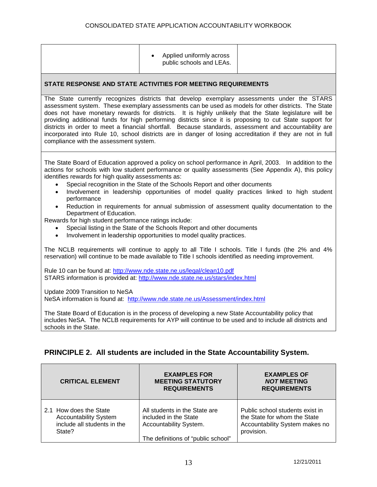|                                                                                                                                                                                                                                                                                                                                                                                                                                                                                                                                                                                                                                                                                                                                                                                                                                                           | Applied uniformly across<br>public schools and LEAs.                                                                                                                                                          |  |  |
|-----------------------------------------------------------------------------------------------------------------------------------------------------------------------------------------------------------------------------------------------------------------------------------------------------------------------------------------------------------------------------------------------------------------------------------------------------------------------------------------------------------------------------------------------------------------------------------------------------------------------------------------------------------------------------------------------------------------------------------------------------------------------------------------------------------------------------------------------------------|---------------------------------------------------------------------------------------------------------------------------------------------------------------------------------------------------------------|--|--|
|                                                                                                                                                                                                                                                                                                                                                                                                                                                                                                                                                                                                                                                                                                                                                                                                                                                           | STATE RESPONSE AND STATE ACTIVITIES FOR MEETING REQUIREMENTS                                                                                                                                                  |  |  |
| The State currently recognizes districts that develop exemplary assessments under the STARS<br>assessment system. These exemplary assessments can be used as models for other districts. The State<br>does not have monetary rewards for districts. It is highly unlikely that the State legislature will be<br>providing additional funds for high performing districts since it is proposing to cut State support for<br>districts in order to meet a financial shortfall. Because standards, assessment and accountability are<br>incorporated into Rule 10, school districts are in danger of losing accreditation if they are not in full<br>compliance with the assessment system.                                                                                                                                                                  |                                                                                                                                                                                                               |  |  |
| The State Board of Education approved a policy on school performance in April, 2003. In addition to the<br>actions for schools with low student performance or quality assessments (See Appendix A), this policy<br>identifies rewards for high quality assessments as:<br>Special recognition in the State of the Schools Report and other documents<br>$\bullet$<br>Involvement in leadership opportunities of model quality practices linked to high student<br>$\bullet$<br>performance<br>Reduction in requirements for annual submission of assessment quality documentation to the<br>Department of Education.<br>Rewards for high student performance ratings include:<br>Special listing in the State of the Schools Report and other documents<br>$\bullet$<br>Involvement in leadership opportunities to model quality practices.<br>$\bullet$ |                                                                                                                                                                                                               |  |  |
| The NCLB requirements will continue to apply to all Title I schools. Title I funds (the 2% and 4%<br>reservation) will continue to be made available to Title I schools identified as needing improvement.                                                                                                                                                                                                                                                                                                                                                                                                                                                                                                                                                                                                                                                |                                                                                                                                                                                                               |  |  |
|                                                                                                                                                                                                                                                                                                                                                                                                                                                                                                                                                                                                                                                                                                                                                                                                                                                           | Rule 10 can be found at: http://www.nde.state.ne.us/legal/clean10.pdf<br>STARS information is provided at: http://www.nde.state.ne.us/stars/index.html                                                        |  |  |
| Update 2009 Transition to NeSA<br>NeSA information is found at: http://www.nde.state.ne.us/Assessment/index.html                                                                                                                                                                                                                                                                                                                                                                                                                                                                                                                                                                                                                                                                                                                                          |                                                                                                                                                                                                               |  |  |
| schools in the State.                                                                                                                                                                                                                                                                                                                                                                                                                                                                                                                                                                                                                                                                                                                                                                                                                                     | The State Board of Education is in the process of developing a new State Accountability policy that<br>includes NeSA. The NCLB requirements for AYP will continue to be used and to include all districts and |  |  |

# **PRINCIPLE 2. All students are included in the State Accountability System.**

| <b>CRITICAL ELEMENT</b>      | <b>EXAMPLES FOR</b><br><b>MEETING STATUTORY</b><br><b>REQUIREMENTS</b> | <b>EXAMPLES OF</b><br><b>NOT MEETING</b><br><b>REQUIREMENTS</b> |
|------------------------------|------------------------------------------------------------------------|-----------------------------------------------------------------|
| 2.1 How does the State       | All students in the State are                                          | Public school students exist in                                 |
| <b>Accountability System</b> | included in the State                                                  | the State for whom the State                                    |
| include all students in the  | Accountability System.                                                 | Accountability System makes no                                  |
| State?                       | The definitions of "public school"                                     | provision.                                                      |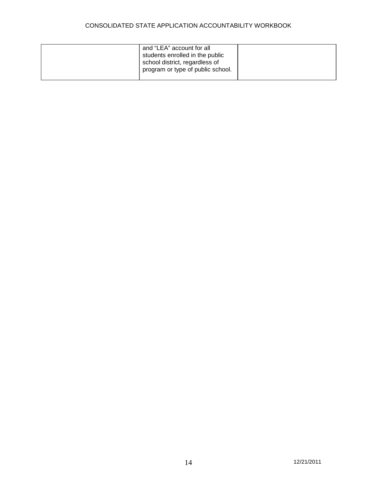# CONSOLIDATED STATE APPLICATION ACCOUNTABILITY WORKBOOK

| and "LEA" account for all<br>students enrolled in the public<br>school district, regardless of<br>program or type of public school. |  |
|-------------------------------------------------------------------------------------------------------------------------------------|--|
|-------------------------------------------------------------------------------------------------------------------------------------|--|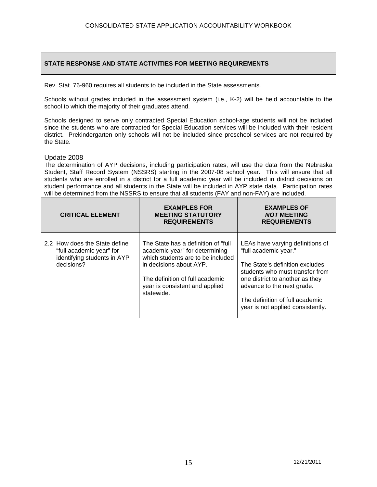Rev. Stat. 76-960 requires all students to be included in the State assessments.

Schools without grades included in the assessment system (i.e., K-2) will be held accountable to the school to which the majority of their graduates attend.

Schools designed to serve only contracted Special Education school-age students will not be included since the students who are contracted for Special Education services will be included with their resident district. Prekindergarten only schools will not be included since preschool services are not required by the State.

#### Update 2008

The determination of AYP decisions, including participation rates, will use the data from the Nebraska Student, Staff Record System (NSSRS) starting in the 2007-08 school year. This will ensure that all students who are enrolled in a district for a full academic year will be included in district decisions on student performance and all students in the State will be included in AYP state data. Participation rates will be determined from the NSSRS to ensure that all students (FAY and non-FAY) are included.

| <b>CRITICAL ELEMENT</b>                                                                                | <b>EXAMPLES FOR</b><br><b>MEETING STATUTORY</b><br><b>REQUIREMENTS</b>                                                                                                                                                    | <b>EXAMPLES OF</b><br><b>NOT MEETING</b><br><b>REQUIREMENTS</b>                                                                                                                                                                                                          |
|--------------------------------------------------------------------------------------------------------|---------------------------------------------------------------------------------------------------------------------------------------------------------------------------------------------------------------------------|--------------------------------------------------------------------------------------------------------------------------------------------------------------------------------------------------------------------------------------------------------------------------|
| 2.2 How does the State define<br>"full academic year" for<br>identifying students in AYP<br>decisions? | The State has a definition of "full"<br>academic year" for determining<br>which students are to be included<br>in decisions about AYP.<br>The definition of full academic<br>year is consistent and applied<br>statewide. | LEAs have varying definitions of<br>"full academic year."<br>The State's definition excludes<br>students who must transfer from<br>one district to another as they<br>advance to the next grade.<br>The definition of full academic<br>year is not applied consistently. |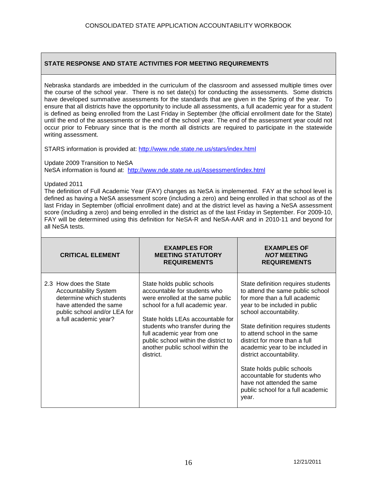Nebraska standards are imbedded in the curriculum of the classroom and assessed multiple times over the course of the school year. There is no set date(s) for conducting the assessments. Some districts have developed summative assessments for the standards that are given in the Spring of the year. To ensure that all districts have the opportunity to include all assessments, a full academic year for a student is defined as being enrolled from the Last Friday in September (the official enrollment date for the State) until the end of the assessments or the end of the school year. The end of the assessment year could not occur prior to February since that is the month all districts are required to participate in the statewide writing assessment.

STARS information is provided at:<http://www.nde.state.ne.us/stars/index.html>

Update 2009 Transition to NeSA

NeSA information is found at: <http://www.nde.state.ne.us/Assessment/index.html>

Updated 2011

The definition of Full Academic Year (FAY) changes as NeSA is implemented. FAY at the school level is defined as having a NeSA assessment score (including a zero) and being enrolled in that school as of the last Friday in September (official enrollment date) and at the district level as having a NeSA assessment score (including a zero) and being enrolled in the district as of the last Friday in September. For 2009-10, FAY will be determined using this definition for NeSA-R and NeSA-AAR and in 2010-11 and beyond for all NeSA tests.

| <b>CRITICAL ELEMENT</b>                                                                                                                                               | <b>EXAMPLES FOR</b><br><b>MEETING STATUTORY</b><br><b>REQUIREMENTS</b>                                                                                                                                                                                                                                                             | <b>EXAMPLES OF</b><br><b>NOT MEETING</b><br><b>REQUIREMENTS</b>                                                                                                                                                                                                                                                                                                                                                                                                                    |
|-----------------------------------------------------------------------------------------------------------------------------------------------------------------------|------------------------------------------------------------------------------------------------------------------------------------------------------------------------------------------------------------------------------------------------------------------------------------------------------------------------------------|------------------------------------------------------------------------------------------------------------------------------------------------------------------------------------------------------------------------------------------------------------------------------------------------------------------------------------------------------------------------------------------------------------------------------------------------------------------------------------|
| 2.3 How does the State<br><b>Accountability System</b><br>determine which students<br>have attended the same<br>public school and/or LEA for<br>a full academic year? | State holds public schools<br>accountable for students who<br>were enrolled at the same public<br>school for a full academic year.<br>State holds LEAs accountable for<br>students who transfer during the<br>full academic year from one<br>public school within the district to<br>another public school within the<br>district. | State definition requires students<br>to attend the same public school<br>for more than a full academic<br>year to be included in public<br>school accountability.<br>State definition requires students<br>to attend school in the same<br>district for more than a full<br>academic year to be included in<br>district accountability.<br>State holds public schools<br>accountable for students who<br>have not attended the same<br>public school for a full academic<br>year. |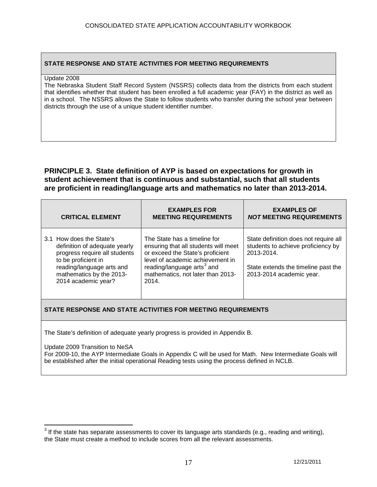#### Update 2008

The Nebraska Student Staff Record System (NSSRS) collects data from the districts from each student that identifies whether that student has been enrolled a full academic year (FAY) in the district as well as in a school. The NSSRS allows the State to follow students who transfer during the school year between districts through the use of a unique student identifier number.

# **PRINCIPLE 3. State definition of AYP is based on expectations for growth in student achievement that is continuous and substantial, such that all students are proficient in reading/language arts and mathematics no later than 2013-2014.**

| <b>CRITICAL ELEMENT</b>                                                                                                                                                                           | <b>EXAMPLES FOR</b><br><b>MEETING REQUIREMENTS</b>                                                                                                                                                                                   | <b>EXAMPLES OF</b><br><b>NOT MEETING REQUIREMENTS</b>                                                                                                        |
|---------------------------------------------------------------------------------------------------------------------------------------------------------------------------------------------------|--------------------------------------------------------------------------------------------------------------------------------------------------------------------------------------------------------------------------------------|--------------------------------------------------------------------------------------------------------------------------------------------------------------|
| 3.1 How does the State's<br>definition of adequate yearly<br>progress require all students<br>to be proficient in<br>reading/language arts and<br>mathematics by the 2013-<br>2014 academic year? | The State has a timeline for<br>ensuring that all students will meet<br>or exceed the State's proficient<br>level of academic achievement in<br>reading/language arts <sup>3</sup> and<br>mathematics, not later than 2013-<br>2014. | State definition does not require all<br>students to achieve proficiency by<br>2013-2014.<br>State extends the timeline past the<br>2013-2014 academic year. |

# **STATE RESPONSE AND STATE ACTIVITIES FOR MEETING REQUIREMENTS**

The State's definition of adequate yearly progress is provided in Appendix B.

Update 2009 Transition to NeSA

For 2009-10, the AYP Intermediate Goals in Appendix C will be used for Math. New Intermediate Goals will be established after the initial operational Reading tests using the process defined in NCLB.

<span id="page-16-0"></span> $3$  If the state has separate assessments to cover its language arts standards (e.g., reading and writing), the State must create a method to include scores from all the relevant assessments.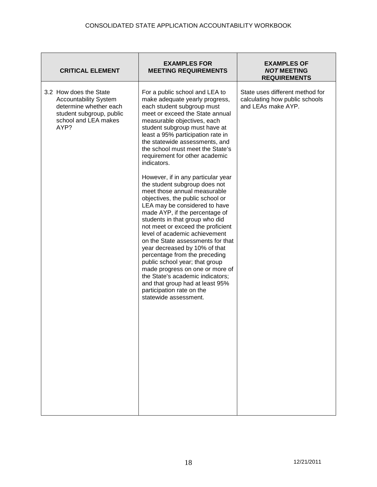| <b>CRITICAL ELEMENT</b>                                                                                                                      | <b>EXAMPLES FOR</b><br><b>MEETING REQUIREMENTS</b>                                                                                                                                                                                                                                                                                                                                                                                                                                                                                                                                                                                                                                                                                                                                                                                                                                                                                                                                           | <b>EXAMPLES OF</b><br><b>NOT MEETING</b><br><b>REQUIREMENTS</b>                         |
|----------------------------------------------------------------------------------------------------------------------------------------------|----------------------------------------------------------------------------------------------------------------------------------------------------------------------------------------------------------------------------------------------------------------------------------------------------------------------------------------------------------------------------------------------------------------------------------------------------------------------------------------------------------------------------------------------------------------------------------------------------------------------------------------------------------------------------------------------------------------------------------------------------------------------------------------------------------------------------------------------------------------------------------------------------------------------------------------------------------------------------------------------|-----------------------------------------------------------------------------------------|
| 3.2 How does the State<br><b>Accountability System</b><br>determine whether each<br>student subgroup, public<br>school and LEA makes<br>AYP? | For a public school and LEA to<br>make adequate yearly progress,<br>each student subgroup must<br>meet or exceed the State annual<br>measurable objectives, each<br>student subgroup must have at<br>least a 95% participation rate in<br>the statewide assessments, and<br>the school must meet the State's<br>requirement for other academic<br>indicators.<br>However, if in any particular year<br>the student subgroup does not<br>meet those annual measurable<br>objectives, the public school or<br>LEA may be considered to have<br>made AYP, if the percentage of<br>students in that group who did<br>not meet or exceed the proficient<br>level of academic achievement<br>on the State assessments for that<br>year decreased by 10% of that<br>percentage from the preceding<br>public school year; that group<br>made progress on one or more of<br>the State's academic indicators;<br>and that group had at least 95%<br>participation rate on the<br>statewide assessment. | State uses different method for<br>calculating how public schools<br>and LEAs make AYP. |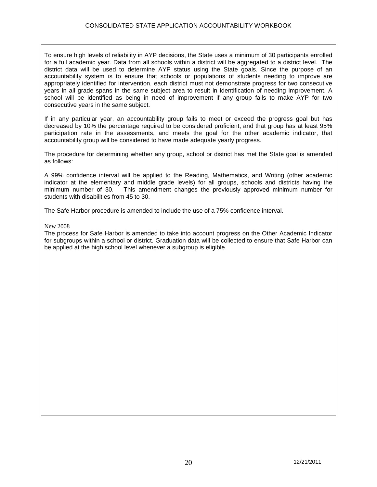To ensure high levels of reliability in AYP decisions, the State uses a minimum of 30 participants enrolled for a full academic year. Data from all schools within a district will be aggregated to a district level. The district data will be used to determine AYP status using the State goals. Since the purpose of an accountability system is to ensure that schools or populations of students needing to improve are appropriately identified for intervention, each district must not demonstrate progress for two consecutive years in all grade spans in the same subject area to result in identification of needing improvement. A school will be identified as being in need of improvement if any group fails to make AYP for two consecutive years in the same subject.

If in any particular year, an accountability group fails to meet or exceed the progress goal but has decreased by 10% the percentage required to be considered proficient, and that group has at least 95% participation rate in the assessments, and meets the goal for the other academic indicator, that accountability group will be considered to have made adequate yearly progress.

The procedure for determining whether any group, school or district has met the State goal is amended as follows:

A 99% confidence interval will be applied to the Reading, Mathematics, and Writing (other academic indicator at the elementary and middle grade levels) for all groups, schools and districts having the This amendment changes the previously approved minimum number for students with disabilities from 45 to 30.

The Safe Harbor procedure is amended to include the use of a 75% confidence interval.

#### New 2008

The process for Safe Harbor is amended to take into account progress on the Other Academic Indicator for subgroups within a school or district. Graduation data will be collected to ensure that Safe Harbor can be applied at the high school level whenever a subgroup is eligible.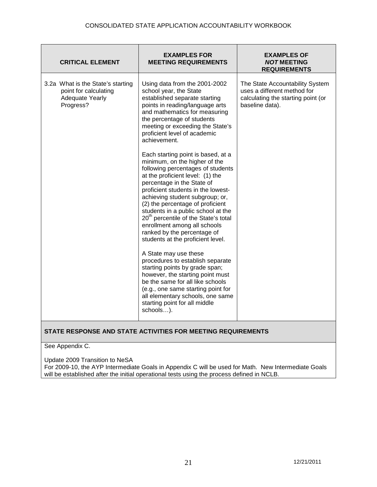| Using data from the 2001-2002<br>The State Accountability System<br>3.2a What is the State's starting<br>uses a different method for<br>point for calculating<br>school year, the State<br><b>Adequate Yearly</b><br>established separate starting<br>calculating the starting point (or<br>Progress?<br>points in reading/language arts<br>baseline data).<br>and mathematics for measuring<br>the percentage of students<br>meeting or exceeding the State's<br>proficient level of academic<br>achievement.<br>Each starting point is based, at a<br>minimum, on the higher of the<br>following percentages of students<br>at the proficient level: (1) the<br>percentage in the State of<br>proficient students in the lowest-<br>achieving student subgroup; or,<br>(2) the percentage of proficient<br>students in a public school at the<br>20 <sup>th</sup> percentile of the State's total<br>enrollment among all schools<br>ranked by the percentage of<br>students at the proficient level.<br>A State may use these<br>procedures to establish separate<br>starting points by grade span;<br>however, the starting point must<br>be the same for all like schools<br>(e.g., one same starting point for<br>all elementary schools, one same<br>starting point for all middle<br>schools). |  |
|--------------------------------------------------------------------------------------------------------------------------------------------------------------------------------------------------------------------------------------------------------------------------------------------------------------------------------------------------------------------------------------------------------------------------------------------------------------------------------------------------------------------------------------------------------------------------------------------------------------------------------------------------------------------------------------------------------------------------------------------------------------------------------------------------------------------------------------------------------------------------------------------------------------------------------------------------------------------------------------------------------------------------------------------------------------------------------------------------------------------------------------------------------------------------------------------------------------------------------------------------------------------------------------------------------|--|

See Appendix C.

Update 2009 Transition to NeSA For 2009-10, the AYP Intermediate Goals in Appendix C will be used for Math. New Intermediate Goals will be established after the initial operational tests using the process defined in NCLB.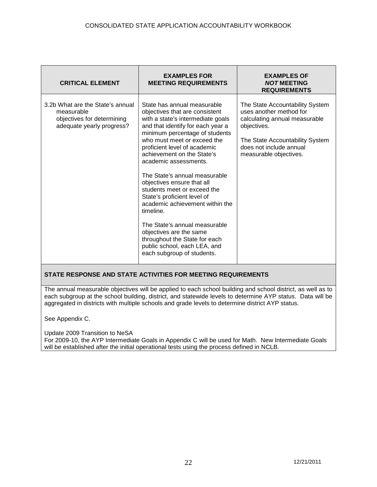| <b>CRITICAL ELEMENT</b>                                                                                   | <b>EXAMPLES FOR</b><br><b>MEETING REQUIREMENTS</b>                                                                                                                                                                                                                                                                                                                                                                                                                                                                                                                                                                                      | <b>EXAMPLES OF</b><br><b>NOT MEETING</b><br><b>REQUIREMENTS</b>                                                                                                                                    |
|-----------------------------------------------------------------------------------------------------------|-----------------------------------------------------------------------------------------------------------------------------------------------------------------------------------------------------------------------------------------------------------------------------------------------------------------------------------------------------------------------------------------------------------------------------------------------------------------------------------------------------------------------------------------------------------------------------------------------------------------------------------------|----------------------------------------------------------------------------------------------------------------------------------------------------------------------------------------------------|
| 3.2b What are the State's annual<br>measurable<br>objectives for determining<br>adequate yearly progress? | State has annual measurable<br>objectives that are consistent<br>with a state's intermediate goals<br>and that identify for each year a<br>minimum percentage of students<br>who must meet or exceed the<br>proficient level of academic<br>achievement on the State's<br>academic assessments.<br>The State's annual measurable<br>objectives ensure that all<br>students meet or exceed the<br>State's proficient level of<br>academic achievement within the<br>timeline.<br>The State's annual measurable<br>objectives are the same<br>throughout the State for each<br>public school, each LEA, and<br>each subgroup of students. | The State Accountability System<br>uses another method for<br>calculating annual measurable<br>objectives.<br>The State Accountability System<br>does not include annual<br>measurable objectives. |

The annual measurable objectives will be applied to each school building and school district, as well as to each subgroup at the school building, district, and statewide levels to determine AYP status. Data will be aggregated in districts with multiple schools and grade levels to determine district AYP status.

See Appendix C.

Update 2009 Transition to NeSA For 2009-10, the AYP Intermediate Goals in Appendix C will be used for Math. New Intermediate Goals will be established after the initial operational tests using the process defined in NCLB.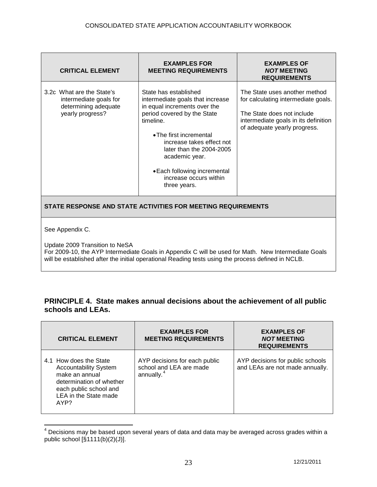| <b>CRITICAL ELEMENT</b>                                                                         | <b>EXAMPLES FOR</b><br><b>MEETING REQUIREMENTS</b>                                                                                                                                                                                                                                                                    | <b>EXAMPLES OF</b><br><b>NOT MEETING</b><br><b>REQUIREMENTS</b>                                                                                                            |
|-------------------------------------------------------------------------------------------------|-----------------------------------------------------------------------------------------------------------------------------------------------------------------------------------------------------------------------------------------------------------------------------------------------------------------------|----------------------------------------------------------------------------------------------------------------------------------------------------------------------------|
| 3.2c What are the State's<br>intermediate goals for<br>determining adequate<br>yearly progress? | State has established<br>intermediate goals that increase<br>in equal increments over the<br>period covered by the State<br>timeline.<br>• The first incremental<br>increase takes effect not<br>later than the 2004-2005<br>academic year.<br>• Each following incremental<br>increase occurs within<br>three years. | The State uses another method<br>for calculating intermediate goals.<br>The State does not include<br>intermediate goals in its definition<br>of adequate yearly progress. |
| STATE RESPONSE AND STATE ACTIVITIES FOR MEETING REQUIREMENTS                                    |                                                                                                                                                                                                                                                                                                                       |                                                                                                                                                                            |
| See Appendix C.<br>Update 2009 Transition to NeSA<br>$0.0000404$ $0.00001$                      | $P_{\text{eff}}$ $\alpha$ and $\alpha$ and $\alpha$ is the set of $\alpha$ is the set of $\alpha$ is the set of $\alpha$                                                                                                                                                                                              |                                                                                                                                                                            |

For 2009-10, the AYP Intermediate Goals in Appendix C will be used for Math. New Intermediate Goals will be established after the initial operational Reading tests using the process defined in NCLB.

| PRINCIPLE 4. State makes annual decisions about the achievement of all public |
|-------------------------------------------------------------------------------|
| schools and LEAs.                                                             |

| <b>CRITICAL ELEMENT</b>                                                                                                                                         | <b>EXAMPLES FOR</b><br><b>MEETING REQUIREMENTS</b>                                 | <b>EXAMPLES OF</b><br><b>NOT MEETING</b><br><b>REQUIREMENTS</b>     |
|-----------------------------------------------------------------------------------------------------------------------------------------------------------------|------------------------------------------------------------------------------------|---------------------------------------------------------------------|
| 4.1 How does the State<br><b>Accountability System</b><br>make an annual<br>determination of whether<br>each public school and<br>LEA in the State made<br>AYP? | AYP decisions for each public<br>school and LEA are made<br>annually. <sup>4</sup> | AYP decisions for public schools<br>and LEAs are not made annually. |

<span id="page-22-0"></span> $4$  Decisions may be based upon several years of data and data may be averaged across grades within a public school  $[\S 1111(b)(2)(J)].$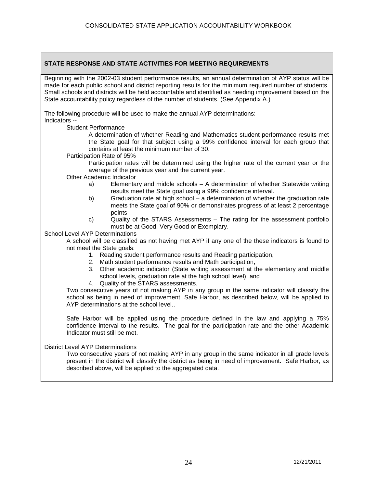Beginning with the 2002-03 student performance results, an annual determination of AYP status will be made for each public school and district reporting results for the minimum required number of students. Small schools and districts will be held accountable and identified as needing improvement based on the State accountability policy regardless of the number of students. (See Appendix A.)

The following procedure will be used to make the annual AYP determinations: Indicators --

Student Performance

A determination of whether Reading and Mathematics student performance results met the State goal for that subject using a 99% confidence interval for each group that contains at least the minimum number of 30.

Participation Rate of 95%

Participation rates will be determined using the higher rate of the current year or the average of the previous year and the current year.

Other Academic Indicator

- a) Elementary and middle schools A determination of whether Statewide writing results meet the State goal using a 99% confidence interval.
- b) Graduation rate at high school a determination of whether the graduation rate meets the State goal of 90% or demonstrates progress of at least 2 percentage points
- c) Quality of the STARS Assessments The rating for the assessment portfolio must be at Good, Very Good or Exemplary.

School Level AYP Determinations

A school will be classified as not having met AYP if any one of the these indicators is found to not meet the State goals:

- 1. Reading student performance results and Reading participation,
- 2. Math student performance results and Math participation,
- 3. Other academic indicator (State writing assessment at the elementary and middle school levels, graduation rate at the high school level), and
- 4. Quality of the STARS assessments.

Two consecutive years of not making AYP in any group in the same indicator will classify the school as being in need of improvement. Safe Harbor, as described below, will be applied to AYP determinations at the school level..

Safe Harbor will be applied using the procedure defined in the law and applying a 75% confidence interval to the results. The goal for the participation rate and the other Academic Indicator must still be met.

District Level AYP Determinations

Two consecutive years of not making AYP in any group in the same indicator in all grade levels present in the district will classify the district as being in need of improvement. Safe Harbor, as described above, will be applied to the aggregated data.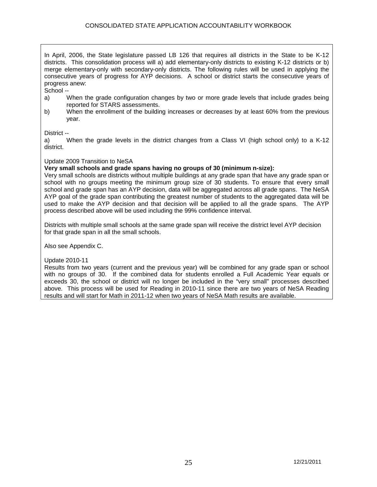In April, 2006, the State legislature passed LB 126 that requires all districts in the State to be K-12 districts. This consolidation process will a) add elementary-only districts to existing K-12 districts or b) merge elementary-only with secondary-only districts. The following rules will be used in applying the consecutive years of progress for AYP decisions. A school or district starts the consecutive years of progress anew:

School --

- a) When the grade configuration changes by two or more grade levels that include grades being reported for STARS assessments.
- b) When the enrollment of the building increases or decreases by at least 60% from the previous year.

District --

a) When the grade levels in the district changes from a Class VI (high school only) to a K-12 district.

Update 2009 Transition to NeSA

**Very small schools and grade spans having no groups of 30 (minimum n-size):** 

Very small schools are districts without multiple buildings at any grade span that have any grade span or school with no groups meeting the minimum group size of 30 students. To ensure that every small school and grade span has an AYP decision, data will be aggregated across all grade spans. The NeSA AYP goal of the grade span contributing the greatest number of students to the aggregated data will be used to make the AYP decision and that decision will be applied to all the grade spans. The AYP process described above will be used including the 99% confidence interval.

Districts with multiple small schools at the same grade span will receive the district level AYP decision for that grade span in all the small schools.

Also see Appendix C.

#### Update 2010-11

Results from two years (current and the previous year) will be combined for any grade span or school with no groups of 30. If the combined data for students enrolled a Full Academic Year equals or exceeds 30, the school or district will no longer be included in the "very small" processes described above. This process will be used for Reading in 2010-11 since there are two years of NeSA Reading results and will start for Math in 2011-12 when two years of NeSA Math results are available.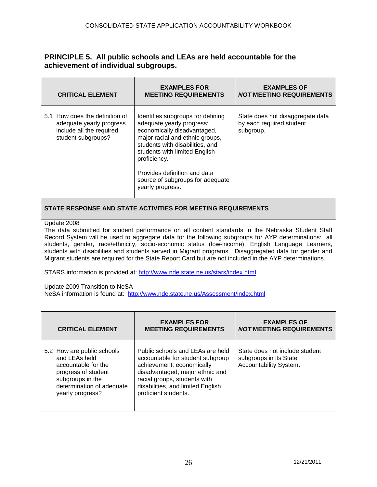# **PRINCIPLE 5. All public schools and LEAs are held accountable for the achievement of individual subgroups.**

| <b>CRITICAL ELEMENT</b>                                                                                                                                                                                                                                                                                                                                                                                                                                                                                                                                                                                                                                                                                                                               | <b>EXAMPLES FOR</b><br><b>MEETING REQUIREMENTS</b>                                                                                                                                                                                                                                                           | <b>EXAMPLES OF</b><br><b>NOT MEETING REQUIREMENTS</b>                              |
|-------------------------------------------------------------------------------------------------------------------------------------------------------------------------------------------------------------------------------------------------------------------------------------------------------------------------------------------------------------------------------------------------------------------------------------------------------------------------------------------------------------------------------------------------------------------------------------------------------------------------------------------------------------------------------------------------------------------------------------------------------|--------------------------------------------------------------------------------------------------------------------------------------------------------------------------------------------------------------------------------------------------------------------------------------------------------------|------------------------------------------------------------------------------------|
| 5.1 How does the definition of<br>adequate yearly progress<br>include all the required<br>student subgroups?                                                                                                                                                                                                                                                                                                                                                                                                                                                                                                                                                                                                                                          | Identifies subgroups for defining<br>adequate yearly progress:<br>economically disadvantaged,<br>major racial and ethnic groups,<br>students with disabilities, and<br>students with limited English<br>proficiency.<br>Provides definition and data<br>source of subgroups for adequate<br>yearly progress. | State does not disaggregate data<br>by each required student<br>subgroup.          |
|                                                                                                                                                                                                                                                                                                                                                                                                                                                                                                                                                                                                                                                                                                                                                       | STATE RESPONSE AND STATE ACTIVITIES FOR MEETING REQUIREMENTS                                                                                                                                                                                                                                                 |                                                                                    |
| Update 2008<br>The data submitted for student performance on all content standards in the Nebraska Student Staff<br>Record System will be used to aggregate data for the following subgroups for AYP determinations: all<br>students, gender, race/ethnicity, socio-economic status (low-income), English Language Learners,<br>students with disabilities and students served in Migrant programs. Disaggregated data for gender and<br>Migrant students are required for the State Report Card but are not included in the AYP determinations.<br>STARS information is provided at: http://www.nde.state.ne.us/stars/index.html<br>Update 2009 Transition to NeSA<br>NeSA information is found at: http://www.nde.state.ne.us/Assessment/index.html |                                                                                                                                                                                                                                                                                                              |                                                                                    |
| <b>CRITICAL ELEMENT</b>                                                                                                                                                                                                                                                                                                                                                                                                                                                                                                                                                                                                                                                                                                                               | <b>EXAMPLES FOR</b><br><b>MEETING REQUIREMENTS</b>                                                                                                                                                                                                                                                           | <b>EXAMPLES OF</b><br><b>NOT MEETING REQUIREMENTS</b>                              |
| 5.2 How are public schools<br>and LEAs held<br>accountable for the<br>progress of student<br>subgroups in the<br>determination of adequate<br>yearly progress?                                                                                                                                                                                                                                                                                                                                                                                                                                                                                                                                                                                        | Public schools and LEAs are held<br>accountable for student subgroup<br>achievement: economically<br>disadvantaged, major ethnic and<br>racial groups, students with<br>disabilities, and limited English<br>proficient students.                                                                            | State does not include student<br>subgroups in its State<br>Accountability System. |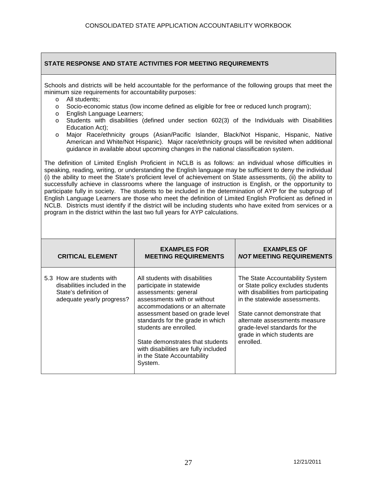Schools and districts will be held accountable for the performance of the following groups that meet the minimum size requirements for accountability purposes:

- o All students;
- o Socio-economic status (low income defined as eligible for free or reduced lunch program);
- o English Language Learners;
- o Students with disabilities (defined under section 602(3) of the Individuals with Disabilities Education Act);
- o Major Race/ethnicity groups (Asian/Pacific Islander, Black/Not Hispanic, Hispanic, Native American and White/Not Hispanic). Major race/ethnicity groups will be revisited when additional guidance in available about upcoming changes in the national classification system.

The definition of Limited English Proficient in NCLB is as follows: an individual whose difficulties in speaking, reading, writing, or understanding the English language may be sufficient to deny the individual (i) the ability to meet the State's proficient level of achievement on State assessments, (ii) the ability to successfully achieve in classrooms where the language of instruction is English, or the opportunity to participate fully in society. The students to be included in the determination of AYP for the subgroup of English Language Learners are those who meet the definition of Limited English Proficient as defined in NCLB. Districts must identify if the district will be including students who have exited from services or a program in the district within the last two full years for AYP calculations.

| <b>CRITICAL ELEMENT</b>                                                                                         | <b>EXAMPLES FOR</b><br><b>MEETING REQUIREMENTS</b>                                                                                                                                                                                                                                                                                                                         | <b>EXAMPLES OF</b><br><b>NOT MEETING REQUIREMENTS</b>                                                                                                                                                                                                                                        |
|-----------------------------------------------------------------------------------------------------------------|----------------------------------------------------------------------------------------------------------------------------------------------------------------------------------------------------------------------------------------------------------------------------------------------------------------------------------------------------------------------------|----------------------------------------------------------------------------------------------------------------------------------------------------------------------------------------------------------------------------------------------------------------------------------------------|
| 5.3 How are students with<br>disabilities included in the<br>State's definition of<br>adequate yearly progress? | All students with disabilities<br>participate in statewide<br>assessments: general<br>assessments with or without<br>accommodations or an alternate<br>assessment based on grade level<br>standards for the grade in which<br>students are enrolled.<br>State demonstrates that students<br>with disabilities are fully included<br>in the State Accountability<br>System. | The State Accountability System<br>or State policy excludes students<br>with disabilities from participating<br>in the statewide assessments.<br>State cannot demonstrate that<br>alternate assessments measure<br>grade-level standards for the<br>grade in which students are<br>enrolled. |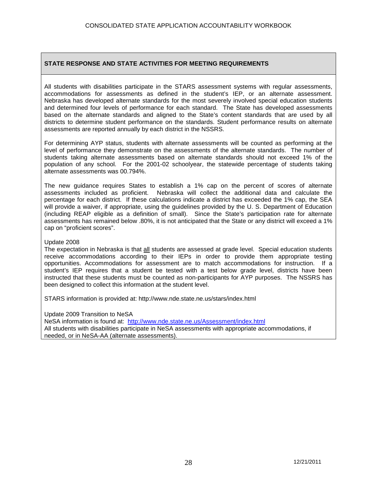All students with disabilities participate in the STARS assessment systems with regular assessments, accommodations for assessments as defined in the student's IEP, or an alternate assessment. Nebraska has developed alternate standards for the most severely involved special education students and determined four levels of performance for each standard. The State has developed assessments based on the alternate standards and aligned to the State's content standards that are used by all districts to determine student performance on the standards. Student performance results on alternate assessments are reported annually by each district in the NSSRS.

For determining AYP status, students with alternate assessments will be counted as performing at the level of performance they demonstrate on the assessments of the alternate standards. The number of students taking alternate assessments based on alternate standards should not exceed 1% of the population of any school. For the 2001-02 schoolyear, the statewide percentage of students taking alternate assessments was 00.794%.

The new guidance requires States to establish a 1% cap on the percent of scores of alternate assessments included as proficient. Nebraska will collect the additional data and calculate the percentage for each district. If these calculations indicate a district has exceeded the 1% cap, the SEA will provide a waiver, if appropriate, using the guidelines provided by the U. S. Department of Education (including REAP eligible as a definition of small). Since the State's participation rate for alternate assessments has remained below .80%, it is not anticipated that the State or any district will exceed a 1% cap on "proficient scores".

#### Update 2008

The expectation in Nebraska is that all students are assessed at grade level. Special education students receive accommodations according to their IEPs in order to provide them appropriate testing opportunities. Accommodations for assessment are to match accommodations for instruction. If a student's IEP requires that a student be tested with a test below grade level, districts have been instructed that these students must be counted as non-participants for AYP purposes. The NSSRS has been designed to collect this information at the student level.

STARS information is provided at: http://www.nde.state.ne.us/stars/index.html

Update 2009 Transition to NeSA

NeSA information is found at: <http://www.nde.state.ne.us/Assessment/index.html> All students with disabilities participate in NeSA assessments with appropriate accommodations, if needed, or in NeSA-AA (alternate assessments).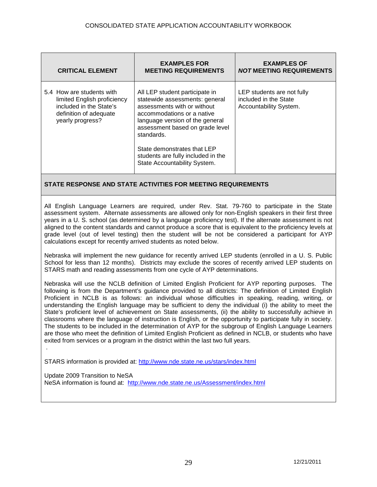| <b>CRITICAL ELEMENT</b>                                                                                                           | <b>EXAMPLES FOR</b><br><b>MEETING REQUIREMENTS</b>                                                                                                                                                                                                                                                                     | <b>EXAMPLES OF</b><br><b>NOT MEETING REQUIREMENTS</b>                         |
|-----------------------------------------------------------------------------------------------------------------------------------|------------------------------------------------------------------------------------------------------------------------------------------------------------------------------------------------------------------------------------------------------------------------------------------------------------------------|-------------------------------------------------------------------------------|
| 5.4 How are students with<br>limited English proficiency<br>included in the State's<br>definition of adequate<br>yearly progress? | All LEP student participate in<br>statewide assessments: general<br>assessments with or without<br>accommodations or a native<br>language version of the general<br>assessment based on grade level<br>standards.<br>State demonstrates that LEP<br>students are fully included in the<br>State Accountability System. | LEP students are not fully<br>included in the State<br>Accountability System. |

All English Language Learners are required, under Rev. Stat. 79-760 to participate in the State assessment system. Alternate assessments are allowed only for non-English speakers in their first three years in a U. S. school (as determined by a language proficiency test). If the alternate assessment is not aligned to the content standards and cannot produce a score that is equivalent to the proficiency levels at grade level (out of level testing) then the student will be not be considered a participant for AYP calculations except for recently arrived students as noted below.

Nebraska will implement the new guidance for recently arrived LEP students (enrolled in a U. S. Public School for less than 12 months). Districts may exclude the scores of recently arrived LEP students on STARS math and reading assessments from one cycle of AYP determinations.

Nebraska will use the NCLB definition of Limited English Proficient for AYP reporting purposes. The following is from the Department's guidance provided to all districts: The definition of Limited English Proficient in NCLB is as follows: an individual whose difficulties in speaking, reading, writing, or understanding the English language may be sufficient to deny the individual (i) the ability to meet the State's proficient level of achievement on State assessments, (ii) the ability to successfully achieve in classrooms where the language of instruction is English, or the opportunity to participate fully in society. The students to be included in the determination of AYP for the subgroup of English Language Learners are those who meet the definition of Limited English Proficient as defined in NCLB, or students who have exited from services or a program in the district within the last two full years.

STARS information is provided at:<http://www.nde.state.ne.us/stars/index.html>

.

Update 2009 Transition to NeSA NeSA information is found at: <http://www.nde.state.ne.us/Assessment/index.html>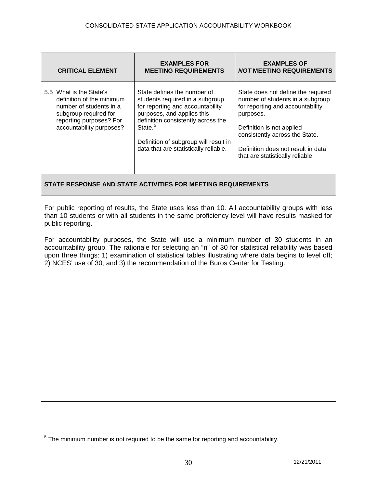| <b>CRITICAL ELEMENT</b>                                                                                                                                         | <b>EXAMPLES FOR</b><br><b>MEETING REQUIREMENTS</b>                                                                                                                                                                                                                              | <b>EXAMPLES OF</b><br><b>NOT MEETING REQUIREMENTS</b>                                                                                                                                                                                                            |
|-----------------------------------------------------------------------------------------------------------------------------------------------------------------|---------------------------------------------------------------------------------------------------------------------------------------------------------------------------------------------------------------------------------------------------------------------------------|------------------------------------------------------------------------------------------------------------------------------------------------------------------------------------------------------------------------------------------------------------------|
| 5.5 What is the State's<br>definition of the minimum<br>number of students in a<br>subgroup required for<br>reporting purposes? For<br>accountability purposes? | State defines the number of<br>students required in a subgroup<br>for reporting and accountability<br>purposes, and applies this<br>definition consistently across the<br>State. <sup>5</sup><br>Definition of subgroup will result in<br>data that are statistically reliable. | State does not define the required<br>number of students in a subgroup<br>for reporting and accountability<br>purposes.<br>Definition is not applied<br>consistently across the State.<br>Definition does not result in data<br>that are statistically reliable. |

For public reporting of results, the State uses less than 10. All accountability groups with less than 10 students or with all students in the same proficiency level will have results masked for public reporting.

For accountability purposes, the State will use a minimum number of 30 students in an accountability group. The rationale for selecting an "n" of 30 for statistical reliability was based upon three things: 1) examination of statistical tables illustrating where data begins to level off; 2) NCES' use of 30; and 3) the recommendation of the Buros Center for Testing.

<span id="page-29-0"></span> $5$  The minimum number is not required to be the same for reporting and accountability.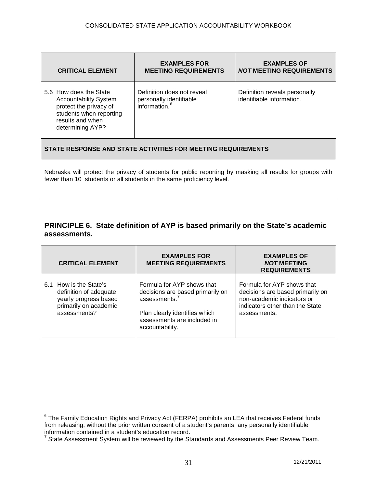| <b>CRITICAL ELEMENT</b>                                                                                                                                                            | <b>EXAMPLES FOR</b><br><b>MEETING REQUIREMENTS</b>                                 | <b>EXAMPLES OF</b><br><b>NOT MEETING REQUIREMENTS</b>      |  |
|------------------------------------------------------------------------------------------------------------------------------------------------------------------------------------|------------------------------------------------------------------------------------|------------------------------------------------------------|--|
| 5.6 How does the State<br><b>Accountability System</b><br>protect the privacy of<br>students when reporting<br>results and when<br>determining AYP?                                | Definition does not reveal<br>personally identifiable<br>information. <sup>6</sup> | Definition reveals personally<br>identifiable information. |  |
| STATE RESPONSE AND STATE ACTIVITIES FOR MEETING REQUIREMENTS                                                                                                                       |                                                                                    |                                                            |  |
| Nebraska will protect the privacy of students for public reporting by masking all results for groups with<br>fewer than 10 students or all students in the same proficiency level. |                                                                                    |                                                            |  |

# **PRINCIPLE 6. State definition of AYP is based primarily on the State's academic assessments.**

|     | <b>CRITICAL ELEMENT</b>                                                                                        | <b>EXAMPLES FOR</b><br><b>MEETING REQUIREMENTS</b>                                                                                                                | <b>EXAMPLES OF</b><br><b>NOT MEETING</b><br><b>REQUIREMENTS</b>                                                                                 |
|-----|----------------------------------------------------------------------------------------------------------------|-------------------------------------------------------------------------------------------------------------------------------------------------------------------|-------------------------------------------------------------------------------------------------------------------------------------------------|
| 6.1 | How is the State's<br>definition of adequate<br>yearly progress based<br>primarily on academic<br>assessments? | Formula for AYP shows that<br>decisions are based primarily on<br>assessments.<br>Plan clearly identifies which<br>assessments are included in<br>accountability. | Formula for AYP shows that<br>decisions are based primarily on<br>non-academic indicators or<br>indicators other than the State<br>assessments. |

<span id="page-30-0"></span><sup>&</sup>lt;sup>6</sup> The Family Education Rights and Privacy Act (FERPA) prohibits an LEA that receives Federal funds from releasing, without the prior written consent of a student's parents, any personally identifiable information contained in a student's education record.

<span id="page-30-1"></span> $^7$  State Assessment System will be reviewed by the Standards and Assessments Peer Review Team.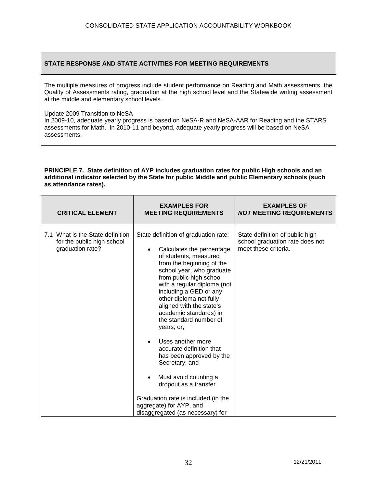The multiple measures of progress include student performance on Reading and Math assessments, the Quality of Assessments rating, graduation at the high school level and the Statewide writing assessment at the middle and elementary school levels.

Update 2009 Transition to NeSA

In 2009-10, adequate yearly progress is based on NeSA-R and NeSA-AAR for Reading and the STARS assessments for Math. In 2010-11 and beyond, adequate yearly progress will be based on NeSA assessments.

#### **PRINCIPLE 7. State definition of AYP includes graduation rates for public High schools and an additional indicator selected by the State for public Middle and public Elementary schools (such as attendance rates).**

| <b>CRITICAL ELEMENT</b>                                                            | <b>EXAMPLES FOR</b><br><b>MEETING REQUIREMENTS</b>                                                                                                                                                                                                                                                                                                                                                                                                                                                                                                                                                                                     | <b>EXAMPLES OF</b><br><b>NOT MEETING REQUIREMENTS</b>                                      |
|------------------------------------------------------------------------------------|----------------------------------------------------------------------------------------------------------------------------------------------------------------------------------------------------------------------------------------------------------------------------------------------------------------------------------------------------------------------------------------------------------------------------------------------------------------------------------------------------------------------------------------------------------------------------------------------------------------------------------------|--------------------------------------------------------------------------------------------|
| 7.1 What is the State definition<br>for the public high school<br>graduation rate? | State definition of graduation rate:<br>Calculates the percentage<br>of students, measured<br>from the beginning of the<br>school year, who graduate<br>from public high school<br>with a regular diploma (not<br>including a GED or any<br>other diploma not fully<br>aligned with the state's<br>academic standards) in<br>the standard number of<br>years; or,<br>Uses another more<br>$\bullet$<br>accurate definition that<br>has been approved by the<br>Secretary; and<br>Must avoid counting a<br>dropout as a transfer.<br>Graduation rate is included (in the<br>aggregate) for AYP, and<br>disaggregated (as necessary) for | State definition of public high<br>school graduation rate does not<br>meet these criteria. |
|                                                                                    |                                                                                                                                                                                                                                                                                                                                                                                                                                                                                                                                                                                                                                        |                                                                                            |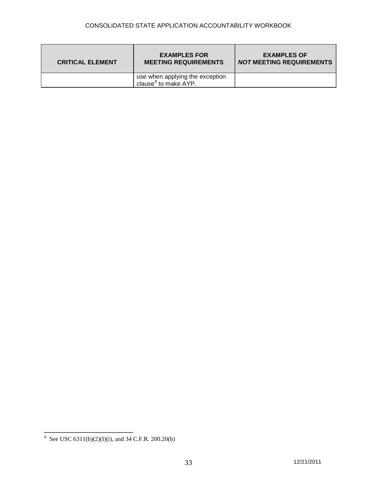| <b>CRITICAL ELEMENT</b> | <b>EXAMPLES FOR</b><br><b>MEETING REQUIREMENTS</b>                  | <b>EXAMPLES OF</b><br><b>NOT MEETING REQUIREMENTS</b> |
|-------------------------|---------------------------------------------------------------------|-------------------------------------------------------|
|                         | use when applying the exception<br>clause <sup>8</sup> to make AYP. |                                                       |

<span id="page-32-0"></span><sup>8</sup> See USC 6311(b)(2)(I)(i), and 34 C.F.R. 200.20(b)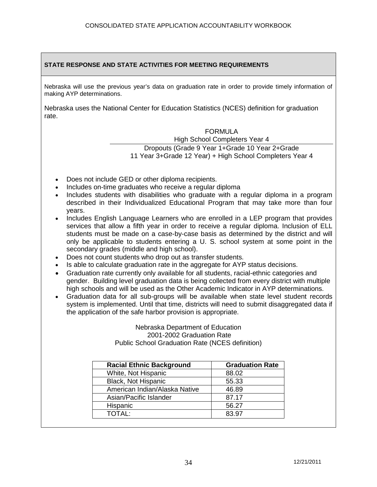Nebraska will use the previous year's data on graduation rate in order to provide timely information of making AYP determinations.

Nebraska uses the National Center for Education Statistics (NCES) definition for graduation rate.

# FORMULA

# High School Completers Year 4

Dropouts (Grade 9 Year 1+Grade 10 Year 2+Grade 11 Year 3+Grade 12 Year) + High School Completers Year 4

- Does not include GED or other diploma recipients.
- Includes on-time graduates who receive a regular diploma
- Includes students with disabilities who graduate with a regular diploma in a program described in their Individualized Educational Program that may take more than four years.
- Includes English Language Learners who are enrolled in a LEP program that provides services that allow a fifth year in order to receive a regular diploma. Inclusion of ELL students must be made on a case-by-case basis as determined by the district and will only be applicable to students entering a U. S. school system at some point in the secondary grades (middle and high school).
- Does not count students who drop out as transfer students.
- Is able to calculate graduation rate in the aggregate for AYP status decisions.
- Graduation rate currently only available for all students, racial-ethnic categories and gender. Building level graduation data is being collected from every district with multiple high schools and will be used as the Other Academic Indicator in AYP determinations.
- Graduation data for all sub-groups will be available when state level student records system is implemented. Until that time, districts will need to submit disaggregated data if the application of the safe harbor provision is appropriate.

Nebraska Department of Education 2001-2002 Graduation Rate Public School Graduation Rate (NCES definition)

| <b>Racial Ethnic Background</b> | <b>Graduation Rate</b> |
|---------------------------------|------------------------|
| White, Not Hispanic             | 88.02                  |
| Black, Not Hispanic             | 55.33                  |
| American Indian/Alaska Native   | 46.89                  |
| Asian/Pacific Islander          | 87.17                  |
| Hispanic                        | 56.27                  |
| <b>TOTAL:</b>                   | 83.97                  |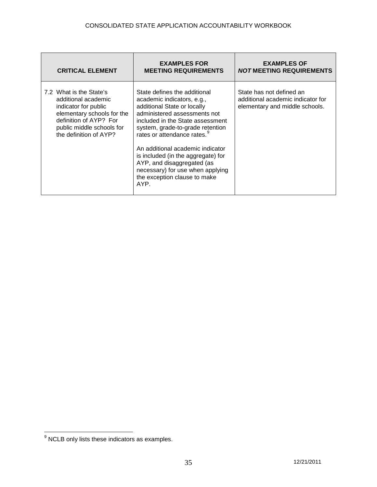| <b>CRITICAL ELEMENT</b>                                                                                                                                                               | <b>EXAMPLES FOR</b><br><b>MEETING REQUIREMENTS</b>                                                                                                                                                                                                                                                                                                                                                                               | <b>EXAMPLES OF</b><br><i>NOT</i> MEETING REQUIREMENTS                                           |
|---------------------------------------------------------------------------------------------------------------------------------------------------------------------------------------|----------------------------------------------------------------------------------------------------------------------------------------------------------------------------------------------------------------------------------------------------------------------------------------------------------------------------------------------------------------------------------------------------------------------------------|-------------------------------------------------------------------------------------------------|
| 7.2 What is the State's<br>additional academic<br>indicator for public<br>elementary schools for the<br>definition of AYP? For<br>public middle schools for<br>the definition of AYP? | State defines the additional<br>academic indicators, e.g.,<br>additional State or locally<br>administered assessments not<br>included in the State assessment<br>system, grade-to-grade retention<br>rates or attendance rates. <sup>9</sup><br>An additional academic indicator<br>is included (in the aggregate) for<br>AYP, and disaggregated (as<br>necessary) for use when applying<br>the exception clause to make<br>AYP. | State has not defined an<br>additional academic indicator for<br>elementary and middle schools. |

<span id="page-34-0"></span> $\frac{1}{9}$  NCLB only lists these indicators as examples.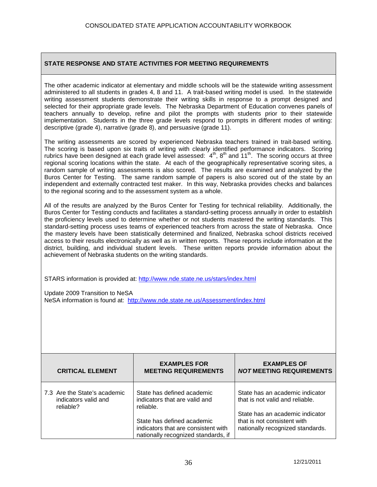The other academic indicator at elementary and middle schools will be the statewide writing assessment administered to all students in grades 4, 8 and 11. A trait-based writing model is used. In the statewide writing assessment students demonstrate their writing skills in response to a prompt designed and selected for their appropriate grade levels. The Nebraska Department of Education convenes panels of teachers annually to develop, refine and pilot the prompts with students prior to their statewide implementation. Students in the three grade levels respond to prompts in different modes of writing: descriptive (grade 4), narrative (grade 8), and persuasive (grade 11).

The writing assessments are scored by experienced Nebraska teachers trained in trait-based writing. The scoring is based upon six traits of writing with clearly identified performance indicators. Scoring rubrics have been designed at each grade level assessed:  $4<sup>th</sup>$ , 8<sup>th</sup> and 11<sup>th</sup>. The scoring occurs at three regional scoring locations within the state. At each of the geographically representative scoring sites, a random sample of writing assessments is also scored. The results are examined and analyzed by the Buros Center for Testing. The same random sample of papers is also scored out of the state by an independent and externally contracted test maker. In this way, Nebraska provides checks and balances to the regional scoring and to the assessment system as a whole.

All of the results are analyzed by the Buros Center for Testing for technical reliability. Additionally, the Buros Center for Testing conducts and facilitates a standard-setting process annually in order to establish the proficiency levels used to determine whether or not students mastered the writing standards. This standard-setting process uses teams of experienced teachers from across the state of Nebraska. Once the mastery levels have been statistically determined and finalized, Nebraska school districts received access to their results electronically as well as in written reports. These reports include information at the district, building, and individual student levels. These written reports provide information about the achievement of Nebraska students on the writing standards.

STARS information is provided at:<http://www.nde.state.ne.us/stars/index.html>

Update 2009 Transition to NeSA NeSA information is found at: <http://www.nde.state.ne.us/Assessment/index.html>

| <b>CRITICAL ELEMENT</b>                                           | <b>EXAMPLES FOR</b><br><b>MEETING REQUIREMENTS</b>                                                       | <b>EXAMPLES OF</b><br><b>NOT MEETING REQUIREMENTS</b>                                                 |
|-------------------------------------------------------------------|----------------------------------------------------------------------------------------------------------|-------------------------------------------------------------------------------------------------------|
| 7.3 Are the State's academic<br>indicators valid and<br>reliable? | State has defined academic<br>indicators that are valid and<br>reliable.                                 | State has an academic indicator<br>that is not valid and reliable.<br>State has an academic indicator |
|                                                                   | State has defined academic<br>indicators that are consistent with<br>nationally recognized standards, if | that is not consistent with<br>nationally recognized standards.                                       |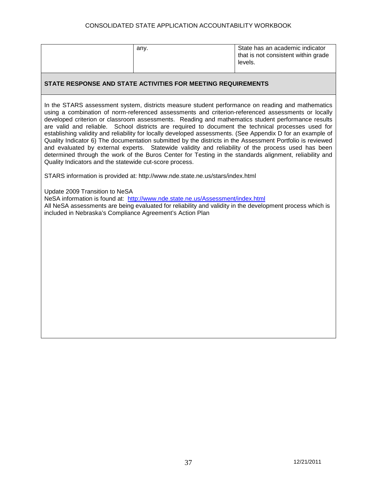#### CONSOLIDATED STATE APPLICATION ACCOUNTABILITY WORKBOOK

| anv. | State has an academic indicator     |
|------|-------------------------------------|
|      | that is not consistent within grade |
|      | levels.                             |
|      |                                     |

#### **STATE RESPONSE AND STATE ACTIVITIES FOR MEETING REQUIREMENTS**

In the STARS assessment system, districts measure student performance on reading and mathematics using a combination of norm-referenced assessments and criterion-referenced assessments or locally developed criterion or classroom assessments. Reading and mathematics student performance results are valid and reliable. School districts are required to document the technical processes used for establishing validity and reliability for locally developed assessments. (See Appendix D for an example of Quality Indicator 6) The documentation submitted by the districts in the Assessment Portfolio is reviewed and evaluated by external experts. Statewide validity and reliability of the process used has been determined through the work of the Buros Center for Testing in the standards alignment, reliability and Quality Indicators and the statewide cut-score process.

STARS information is provided at: http://www.nde.state.ne.us/stars/index.html

Update 2009 Transition to NeSA

NeSA information is found at: <http://www.nde.state.ne.us/Assessment/index.html>

All NeSA assessments are being evaluated for reliability and validity in the development process which is included in Nebraska's Compliance Agreement's Action Plan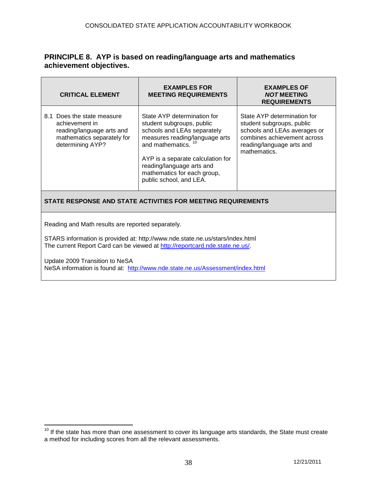# **PRINCIPLE 8. AYP is based on reading/language arts and mathematics achievement objectives.**

| <b>CRITICAL ELEMENT</b>                                                                                                                                                                                            | <b>EXAMPLES FOR</b><br><b>MEETING REQUIREMENTS</b>                                                                                                                                                                                                                        | <b>EXAMPLES OF</b><br><b>NOT MEETING</b><br><b>REQUIREMENTS</b>                                                                                                      |  |
|--------------------------------------------------------------------------------------------------------------------------------------------------------------------------------------------------------------------|---------------------------------------------------------------------------------------------------------------------------------------------------------------------------------------------------------------------------------------------------------------------------|----------------------------------------------------------------------------------------------------------------------------------------------------------------------|--|
| 8.1 Does the state measure<br>achievement in<br>reading/language arts and<br>mathematics separately for<br>determining AYP?                                                                                        | State AYP determination for<br>student subgroups, public<br>schools and LEAs separately<br>measures reading/language arts<br>and mathematics.<br>AYP is a separate calculation for<br>reading/language arts and<br>mathematics for each group,<br>public school, and LEA. | State AYP determination for<br>student subgroups, public<br>schools and LEAs averages or<br>combines achievement across<br>reading/language arts and<br>mathematics. |  |
| STATE RESPONSE AND STATE ACTIVITIES FOR MEETING REQUIREMENTS                                                                                                                                                       |                                                                                                                                                                                                                                                                           |                                                                                                                                                                      |  |
| Reading and Math results are reported separately.<br>STARS information is provided at: http://www.nde.state.ne.us/stars/index.html<br>The current Report Card can be viewed at http://reportcard.nde.state.ne.us/. |                                                                                                                                                                                                                                                                           |                                                                                                                                                                      |  |
| Update 2009 Transition to NeSA<br>NeSA information is found at: http://www.nde.state.ne.us/Assessment/index.html                                                                                                   |                                                                                                                                                                                                                                                                           |                                                                                                                                                                      |  |

<span id="page-37-0"></span> $10$  If the state has more than one assessment to cover its language arts standards, the State must create a method for including scores from all the relevant assessments.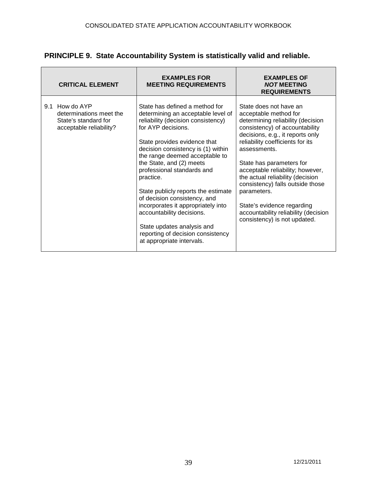|  |  | PRINCIPLE 9. State Accountability System is statistically valid and reliable. |
|--|--|-------------------------------------------------------------------------------|
|  |  |                                                                               |

|     | <b>CRITICAL ELEMENT</b>                                                                  | <b>EXAMPLES FOR</b><br><b>MEETING REQUIREMENTS</b>                                                                                                                                                                                                                                                                                                                                                                                                                                                                                                        | <b>EXAMPLES OF</b><br><b>NOT MEETING</b><br><b>REQUIREMENTS</b>                                                                                                                                                                                                                                                                                                                                                                                                             |
|-----|------------------------------------------------------------------------------------------|-----------------------------------------------------------------------------------------------------------------------------------------------------------------------------------------------------------------------------------------------------------------------------------------------------------------------------------------------------------------------------------------------------------------------------------------------------------------------------------------------------------------------------------------------------------|-----------------------------------------------------------------------------------------------------------------------------------------------------------------------------------------------------------------------------------------------------------------------------------------------------------------------------------------------------------------------------------------------------------------------------------------------------------------------------|
| 9.1 | How do AYP<br>determinations meet the<br>State's standard for<br>acceptable reliability? | State has defined a method for<br>determining an acceptable level of<br>reliability (decision consistency)<br>for AYP decisions.<br>State provides evidence that<br>decision consistency is (1) within<br>the range deemed acceptable to<br>the State, and (2) meets<br>professional standards and<br>practice.<br>State publicly reports the estimate<br>of decision consistency, and<br>incorporates it appropriately into<br>accountability decisions.<br>State updates analysis and<br>reporting of decision consistency<br>at appropriate intervals. | State does not have an<br>acceptable method for<br>determining reliability (decision<br>consistency) of accountability<br>decisions, e.g., it reports only<br>reliability coefficients for its<br>assessments.<br>State has parameters for<br>acceptable reliability; however,<br>the actual reliability (decision<br>consistency) falls outside those<br>parameters.<br>State's evidence regarding<br>accountability reliability (decision<br>consistency) is not updated. |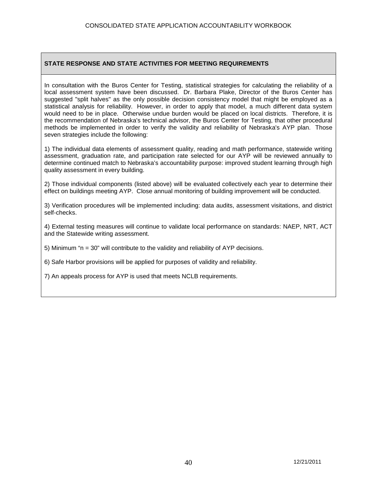In consultation with the Buros Center for Testing, statistical strategies for calculating the reliability of a local assessment system have been discussed. Dr. Barbara Plake, Director of the Buros Center has suggested "split halves" as the only possible decision consistency model that might be employed as a statistical analysis for reliability. However, in order to apply that model, a much different data system would need to be in place. Otherwise undue burden would be placed on local districts. Therefore, it is the recommendation of Nebraska's technical advisor, the Buros Center for Testing, that other procedural methods be implemented in order to verify the validity and reliability of Nebraska's AYP plan. Those seven strategies include the following:

1) The individual data elements of assessment quality, reading and math performance, statewide writing assessment, graduation rate, and participation rate selected for our AYP will be reviewed annually to determine continued match to Nebraska's accountability purpose: improved student learning through high quality assessment in every building.

2) Those individual components (listed above) will be evaluated collectively each year to determine their effect on buildings meeting AYP. Close annual monitoring of building improvement will be conducted.

3) Verification procedures will be implemented including: data audits, assessment visitations, and district self-checks.

4) External testing measures will continue to validate local performance on standards: NAEP, NRT, ACT and the Statewide writing assessment.

5) Minimum "n = 30" will contribute to the validity and reliability of AYP decisions.

6) Safe Harbor provisions will be applied for purposes of validity and reliability.

7) An appeals process for AYP is used that meets NCLB requirements.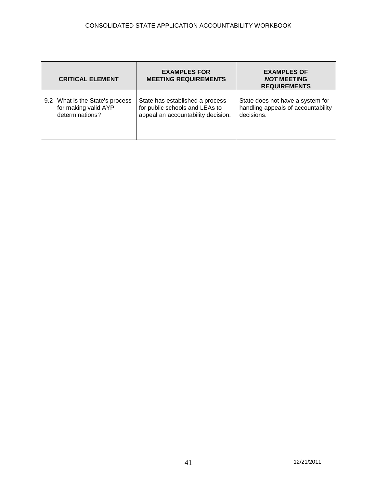| <b>CRITICAL ELEMENT</b>         | <b>EXAMPLES FOR</b><br><b>MEETING REQUIREMENTS</b> | <b>EXAMPLES OF</b><br><b>NOT MEETING</b><br><b>REQUIREMENTS</b> |
|---------------------------------|----------------------------------------------------|-----------------------------------------------------------------|
| 9.2 What is the State's process | State has established a process                    | State does not have a system for                                |
| for making valid AYP            | for public schools and LEAs to                     | handling appeals of accountability                              |
| determinations?                 | appeal an accountability decision.                 | decisions.                                                      |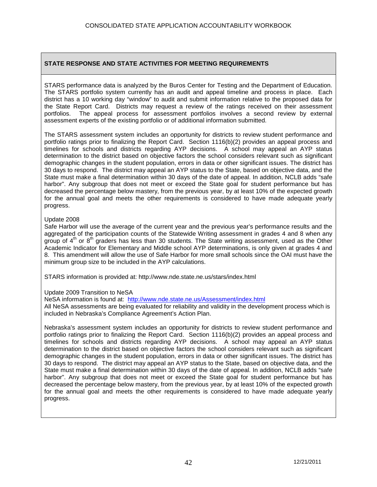STARS performance data is analyzed by the Buros Center for Testing and the Department of Education. The STARS portfolio system currently has an audit and appeal timeline and process in place. Each district has a 10 working day "window" to audit and submit information relative to the proposed data for the State Report Card. Districts may request a review of the ratings received on their assessment portfolios. The appeal process for assessment portfolios involves a second review by external assessment experts of the existing portfolio or of additional information submitted.

The STARS assessment system includes an opportunity for districts to review student performance and portfolio ratings prior to finalizing the Report Card. Section 1116(b)(2) provides an appeal process and timelines for schools and districts regarding AYP decisions. A school may appeal an AYP status determination to the district based on objective factors the school considers relevant such as significant demographic changes in the student population, errors in data or other significant issues. The district has 30 days to respond. The district may appeal an AYP status to the State, based on objective data, and the State must make a final determination within 30 days of the date of appeal. In addition, NCLB adds "safe harbor". Any subgroup that does not meet or exceed the State goal for student performance but has decreased the percentage below mastery, from the previous year, by at least 10% of the expected growth for the annual goal and meets the other requirements is considered to have made adequate yearly progress.

#### Update 2008

Safe Harbor will use the average of the current year and the previous year's performance results and the aggregated of the participation counts of the Statewide Writing assessment in grades 4 and 8 when any group of  $4<sup>th</sup>$  or  $8<sup>th</sup>$  graders has less than 30 students. The State writing assessment, used as the Other Academic Indicator for Elementary and Middle school AYP determinations, is only given at grades 4 and 8. This amendment will allow the use of Safe Harbor for more small schools since the OAI must have the minimum group size to be included in the AYP calculations.

STARS information is provided at: http://www.nde.state.ne.us/stars/index.html

#### Update 2009 Transition to NeSA

NeSA information is found at: <http://www.nde.state.ne.us/Assessment/index.html>

All NeSA assessments are being evaluated for reliability and validity in the development process which is included in Nebraska's Compliance Agreement's Action Plan.

Nebraska's assessment system includes an opportunity for districts to review student performance and portfolio ratings prior to finalizing the Report Card. Section 1116(b)(2) provides an appeal process and timelines for schools and districts regarding AYP decisions. A school may appeal an AYP status determination to the district based on objective factors the school considers relevant such as significant demographic changes in the student population, errors in data or other significant issues. The district has 30 days to respond. The district may appeal an AYP status to the State, based on objective data, and the State must make a final determination within 30 days of the date of appeal. In addition, NCLB adds "safe harbor". Any subgroup that does not meet or exceed the State goal for student performance but has decreased the percentage below mastery, from the previous year, by at least 10% of the expected growth for the annual goal and meets the other requirements is considered to have made adequate yearly progress.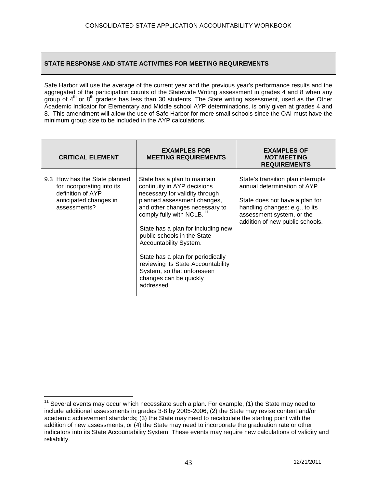Safe Harbor will use the average of the current year and the previous year's performance results and the aggregated of the participation counts of the Statewide Writing assessment in grades 4 and 8 when any group of  $4<sup>th</sup>$  or  $8<sup>th</sup>$  graders has less than 30 students. The State writing assessment, used as the Other Academic Indicator for Elementary and Middle school AYP determinations, is only given at grades 4 and 8. This amendment will allow the use of Safe Harbor for more small schools since the OAI must have the minimum group size to be included in the AYP calculations.

| <b>CRITICAL ELEMENT</b>                                                                                                    | <b>EXAMPLES FOR</b><br><b>MEETING REQUIREMENTS</b>                                                                                                                                                                                                                                                                                                                                                                                                      | <b>EXAMPLES OF</b><br><b>NOT MEETING</b><br><b>REQUIREMENTS</b>                                                                                                                                        |
|----------------------------------------------------------------------------------------------------------------------------|---------------------------------------------------------------------------------------------------------------------------------------------------------------------------------------------------------------------------------------------------------------------------------------------------------------------------------------------------------------------------------------------------------------------------------------------------------|--------------------------------------------------------------------------------------------------------------------------------------------------------------------------------------------------------|
| 9.3 How has the State planned<br>for incorporating into its<br>definition of AYP<br>anticipated changes in<br>assessments? | State has a plan to maintain<br>continuity in AYP decisions<br>necessary for validity through<br>planned assessment changes,<br>and other changes necessary to<br>comply fully with NCLB. <sup>11</sup><br>State has a plan for including new<br>public schools in the State<br>Accountability System.<br>State has a plan for periodically<br>reviewing its State Accountability<br>System, so that unforeseen<br>changes can be quickly<br>addressed. | State's transition plan interrupts<br>annual determination of AYP.<br>State does not have a plan for<br>handling changes: e.g., to its<br>assessment system, or the<br>addition of new public schools. |

<span id="page-42-0"></span> $11$  Several events may occur which necessitate such a plan. For example, (1) the State may need to include additional assessments in grades 3-8 by 2005-2006; (2) the State may revise content and/or academic achievement standards; (3) the State may need to recalculate the starting point with the addition of new assessments; or (4) the State may need to incorporate the graduation rate or other indicators into its State Accountability System. These events may require new calculations of validity and reliability.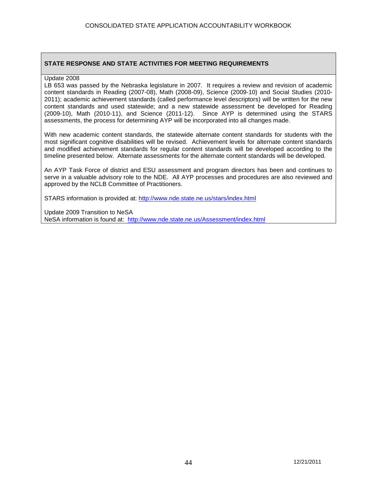#### Update 2008

LB 653 was passed by the Nebraska legislature in 2007. It requires a review and revision of academic content standards in Reading (2007-08), Math (2008-09), Science (2009-10) and Social Studies (2010- 2011); academic achievement standards (called performance level descriptors) will be written for the new content standards and used statewide; and a new statewide assessment be developed for Reading (2009-10), Math (2010-11), and Science (2011-12). Since AYP is determined using the STARS assessments, the process for determining AYP will be incorporated into all changes made.

With new academic content standards, the statewide alternate content standards for students with the most significant cognitive disabilities will be revised. Achievement levels for alternate content standards and modified achievement standards for regular content standards will be developed according to the timeline presented below. Alternate assessments for the alternate content standards will be developed.

An AYP Task Force of district and ESU assessment and program directors has been and continues to serve in a valuable advisory role to the NDE. All AYP processes and procedures are also reviewed and approved by the NCLB Committee of Practitioners.

STARS information is provided at:<http://www.nde.state.ne.us/stars/index.html>

Update 2009 Transition to NeSA

NeSA information is found at: <http://www.nde.state.ne.us/Assessment/index.html>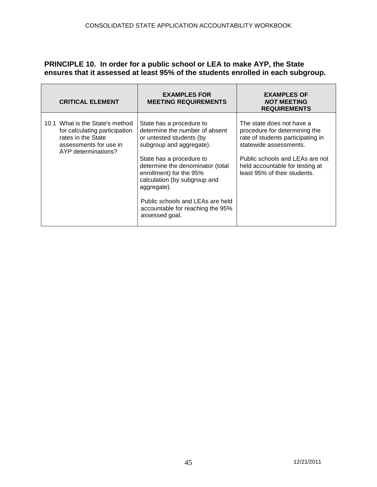# **PRINCIPLE 10. In order for a public school or LEA to make AYP, the State ensures that it assessed at least 95% of the students enrolled in each subgroup.**

| <b>CRITICAL ELEMENT</b>                                                                                                                 | <b>EXAMPLES FOR</b><br><b>MEETING REQUIREMENTS</b>                                                                                                                                                                                                                                                                                                     | <b>EXAMPLES OF</b><br><b>NOT MEETING</b><br><b>REQUIREMENTS</b>                                                                                                                                                                 |
|-----------------------------------------------------------------------------------------------------------------------------------------|--------------------------------------------------------------------------------------------------------------------------------------------------------------------------------------------------------------------------------------------------------------------------------------------------------------------------------------------------------|---------------------------------------------------------------------------------------------------------------------------------------------------------------------------------------------------------------------------------|
| 10.1 What is the State's method<br>for calculating participation<br>rates in the State<br>assessments for use in<br>AYP determinations? | State has a procedure to<br>determine the number of absent<br>or untested students (by<br>subgroup and aggregate).<br>State has a procedure to<br>determine the denominator (total<br>enrollment) for the 95%<br>calculation (by subgroup and<br>aggregate).<br>Public schools and LEAs are held<br>accountable for reaching the 95%<br>assessed goal. | The state does not have a<br>procedure for determining the<br>rate of students participating in<br>statewide assessments.<br>Public schools and LEAs are not<br>held accountable for testing at<br>least 95% of their students. |
|                                                                                                                                         |                                                                                                                                                                                                                                                                                                                                                        |                                                                                                                                                                                                                                 |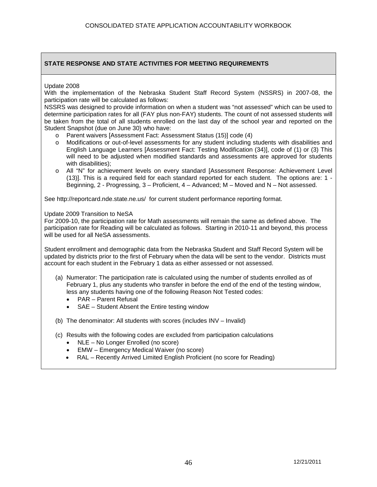Update 2008

With the implementation of the Nebraska Student Staff Record System (NSSRS) in 2007-08, the participation rate will be calculated as follows:

NSSRS was designed to provide information on when a student was "not assessed" which can be used to determine participation rates for all (FAY plus non-FAY) students. The count of not assessed students will be taken from the total of all students enrolled on the last day of the school year and reported on the Student Snapshot (due on June 30) who have:

- o Parent waivers [Assessment Fact: Assessment Status (15)] code (4)
- o Modifications or out-of-level assessments for any student including students with disabilities and English Language Learners [Assessment Fact: Testing Modification (34)], code of (1) or (3) This will need to be adjusted when modified standards and assessments are approved for students with disabilities):
- o All "N" for achievement levels on every standard [Assessment Response: Achievement Level (13)]. This is a required field for each standard reported for each student. The options are: 1 - Beginning, 2 - Progressing, 3 – Proficient, 4 – Advanced; M – Moved and N – Not assessed.

See<http://reportcard.nde.state.ne.us/>for current student performance reporting format.

Update 2009 Transition to NeSA

For 2009-10, the participation rate for Math assessments will remain the same as defined above. The participation rate for Reading will be calculated as follows. Starting in 2010-11 and beyond, this process will be used for all NeSA assessments.

Student enrollment and demographic data from the Nebraska Student and Staff Record System will be updated by districts prior to the first of February when the data will be sent to the vendor. Districts must account for each student in the February 1 data as either assessed or not assessed.

- (a) Numerator: The participation rate is calculated using the number of students enrolled as of February 1, plus any students who transfer in before the end of the end of the testing window, less any students having one of the following Reason Not Tested codes:
	- PAR Parent Refusal
	- SAE Student Absent the Entire testing window
- (b) The denominator: All students with scores (includes INV Invalid)
- (c) Results with the following codes are excluded from participation calculations
	- NLE No Longer Enrolled (no score)
	- EMW Emergency Medical Waiver (no score)
	- RAL Recently Arrived Limited English Proficient (no score for Reading)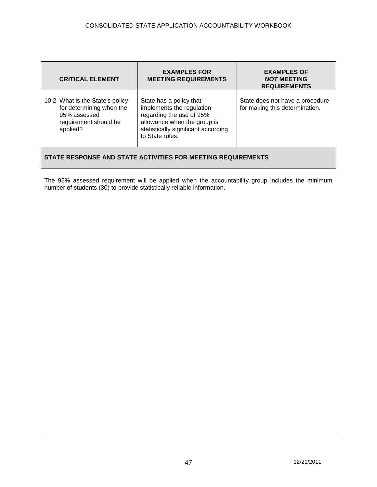| <b>CRITICAL ELEMENT</b>                                                                                          | <b>EXAMPLES FOR</b><br><b>MEETING REQUIREMENTS</b>                                                                                                                        | <b>EXAMPLES OF</b><br><b>NOT MEETING</b><br><b>REQUIREMENTS</b>   |
|------------------------------------------------------------------------------------------------------------------|---------------------------------------------------------------------------------------------------------------------------------------------------------------------------|-------------------------------------------------------------------|
| 10.2 What is the State's policy<br>for determining when the<br>95% assessed<br>requirement should be<br>applied? | State has a policy that<br>implements the regulation<br>regarding the use of 95%<br>allowance when the group is<br>statistically significant according<br>to State rules. | State does not have a procedure<br>for making this determination. |
|                                                                                                                  | STATE RESPONSE AND STATE ACTIVITIES FOR MEETING REQUIREMENTS                                                                                                              |                                                                   |
| number of students (30) to provide statistically reliable information.                                           | The 95% assessed requirement will be applied when the accountability group includes the minimum                                                                           |                                                                   |
|                                                                                                                  |                                                                                                                                                                           |                                                                   |
|                                                                                                                  |                                                                                                                                                                           |                                                                   |
|                                                                                                                  |                                                                                                                                                                           |                                                                   |
|                                                                                                                  |                                                                                                                                                                           |                                                                   |
|                                                                                                                  |                                                                                                                                                                           |                                                                   |
|                                                                                                                  |                                                                                                                                                                           |                                                                   |
|                                                                                                                  |                                                                                                                                                                           |                                                                   |
|                                                                                                                  |                                                                                                                                                                           |                                                                   |
|                                                                                                                  |                                                                                                                                                                           |                                                                   |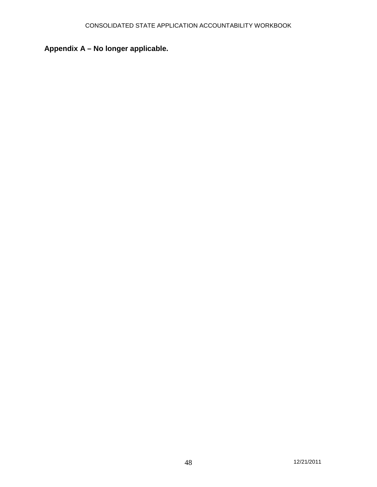# **Appendix A – No longer applicable.**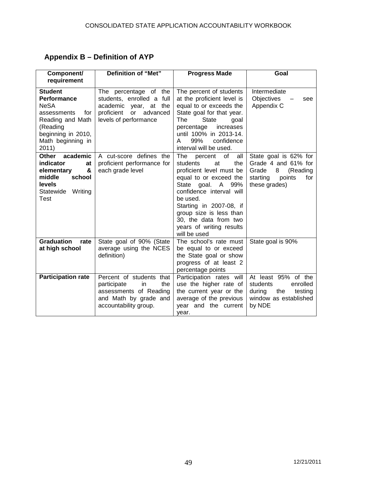# **Appendix B – Definition of AYP**

| Component/<br>requirement                                                                                                                              | Definition of "Met"                                                                                                                            | <b>Progress Made</b>                                                                                                                                                                                                                                                                               | Goal                                                                                                                 |
|--------------------------------------------------------------------------------------------------------------------------------------------------------|------------------------------------------------------------------------------------------------------------------------------------------------|----------------------------------------------------------------------------------------------------------------------------------------------------------------------------------------------------------------------------------------------------------------------------------------------------|----------------------------------------------------------------------------------------------------------------------|
| <b>Student</b><br>Performance<br><b>NeSA</b><br>assessments<br>for<br>Reading and Math<br>(Reading<br>beginning in 2010,<br>Math beginning in<br>2011) | The percentage of the<br>students, enrolled a full<br>academic<br>year, at the<br>advanced<br>proficient<br><b>or</b><br>levels of performance | The percent of students<br>at the proficient level is<br>equal to or exceeds the<br>State goal for that year.<br><b>State</b><br>The<br>goal<br>percentage<br>increases<br>until 100% in 2013-14.<br>99%<br>confidence<br>A<br>interval will be used.                                              | Intermediate<br>Objectives<br>see<br>Appendix C                                                                      |
| academic<br>Other<br>indicator<br>at<br>&<br>elementary<br>middle<br>school<br><b>levels</b><br>Statewide<br>Writing<br>Test                           | A cut-score defines the<br>proficient performance for<br>each grade level                                                                      | all<br>The<br>of<br>percent<br>students<br>at<br>the<br>proficient level must be<br>equal to or exceed the<br>State goal. A 99%<br>confidence interval will<br>be used.<br>Starting in 2007-08, if<br>group size is less than<br>30, the data from two<br>years of writing results<br>will be used | State goal is 62% for<br>Grade 4 and 61% for<br>8<br>(Reading<br>Grade<br>points<br>for<br>starting<br>these grades) |
| <b>Graduation</b><br>rate<br>at high school                                                                                                            | State goal of 90% (State<br>average using the NCES<br>definition)                                                                              | The school's rate must<br>be equal to or exceed<br>the State goal or show<br>progress of at least 2<br>percentage points                                                                                                                                                                           | State goal is 90%                                                                                                    |
| <b>Participation rate</b>                                                                                                                              | Percent of students that<br>participate<br>the<br>in<br>assessments of Reading<br>and Math by grade and<br>accountability group.               | Participation rates will<br>use the higher rate of<br>the current year or the<br>average of the previous<br>year and the current<br>vear.                                                                                                                                                          | At least 95% of the<br>students<br>enrolled<br>during<br>the<br>testing<br>window as established<br>by NDE           |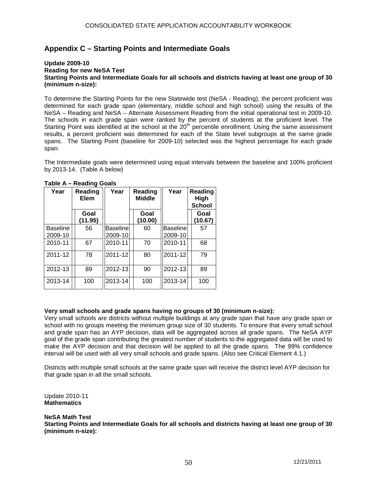# **Appendix C – Starting Points and Intermediate Goals**

#### **Update 2009-10 Reading for new NeSA Test Starting Points and Intermediate Goals for all schools and districts having at least one group of 30 (minimum n-size):**

To determine the Starting Points for the new Statewide test (NeSA - Reading), the percent proficient was determined for each grade span (elementary, middle school and high school) using the results of the NeSA – Reading and NeSA – Alternate Assessment Reading from the initial operational test in 2009-10. The schools in each grade span were ranked by the percent of students at the proficient level. The Starting Point was identified at the school at the 20<sup>th</sup> percentile enrollment. Using the same assessment results, a percent proficient was determined for each of the State level subgroups at the same grade spans. The Starting Point (baseline for 2009-10) selected was the highest percentage for each grade span.

The Intermediate goals were determined using equal intervals between the baseline and 100% proficient by 2013-14. (Table A below)

| Year                       | Reading<br>Elem | Year                | Reading<br><b>Middle</b> | Year                       | Reading<br>High<br>School |
|----------------------------|-----------------|---------------------|--------------------------|----------------------------|---------------------------|
|                            | Goal<br>(11.95) |                     | Goal<br>(10.00)          |                            | Goal<br>(10.67)           |
| <b>Baseline</b><br>2009-10 | 56              | Baseline<br>2009-10 | 60                       | <b>Baseline</b><br>2009-10 | 57                        |
| 2010-11                    | 67              | 2010-11             | 70                       | 2010-11                    | 68                        |
| 2011-12                    | 78              | 2011-12             | 80                       | 2011-12                    | 79                        |
| 2012-13                    | 89              | 2012-13             | 90                       | 2012-13                    | 89                        |
| 2013-14                    | 100             | 2013-14             | 100                      | 2013-14                    | 100                       |

#### **Table A – Reading Goals**

#### **Very small schools and grade spans having no groups of 30 (minimum n-size):**

Very small schools are districts without multiple buildings at any grade span that have any grade span or school with no groups meeting the minimum group size of 30 students. To ensure that every small school and grade span has an AYP decision, data will be aggregated across all grade spans. The NeSA AYP goal of the grade span contributing the greatest number of students to the aggregated data will be used to make the AYP decision and that decision will be applied to all the grade spans. The 99% confidence interval will be used with all very small schools and grade spans. (Also see Critical Element 4.1.)

Districts with multiple small schools at the same grade span will receive the district level AYP decision for that grade span in all the small schools.

Update 2010-11 **Mathematics**

#### **NeSA Math Test**

**Starting Points and Intermediate Goals for all schools and districts having at least one group of 30 (minimum n-size):**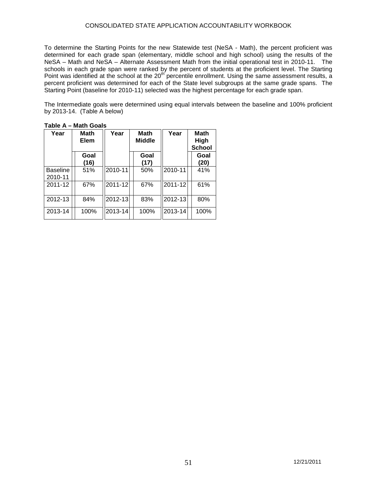#### CONSOLIDATED STATE APPLICATION ACCOUNTABILITY WORKBOOK

To determine the Starting Points for the new Statewide test (NeSA - Math), the percent proficient was determined for each grade span (elementary, middle school and high school) using the results of the NeSA – Math and NeSA – Alternate Assessment Math from the initial operational test in 2010-11. The schools in each grade span were ranked by the percent of students at the proficient level. The Starting Point was identified at the school at the 20<sup>th</sup> percentile enrollment. Using the same assessment results, a percent proficient was determined for each of the State level subgroups at the same grade spans. The Starting Point (baseline for 2010-11) selected was the highest percentage for each grade span.

The Intermediate goals were determined using equal intervals between the baseline and 100% proficient by 2013-14. (Table A below)

| Year                       | Math<br>Elem | Year    | <b>Math</b><br><b>Middle</b> | Year    | <b>Math</b><br>High<br><b>School</b> |
|----------------------------|--------------|---------|------------------------------|---------|--------------------------------------|
|                            | Goal<br>(16) |         | Goal<br>(17)                 |         | Goal<br>(20)                         |
| <b>Baseline</b><br>2010-11 | 51%          | 2010-11 | 50%                          | 2010-11 | 41%                                  |
| 2011-12                    | 67%          | 2011-12 | 67%                          | 2011-12 | 61%                                  |
| 2012-13                    | 84%          | 2012-13 | 83%                          | 2012-13 | 80%                                  |
| 2013-14                    | 100%         | 2013-14 | 100%                         | 2013-14 | 100%                                 |

**Table A – Math Goals**